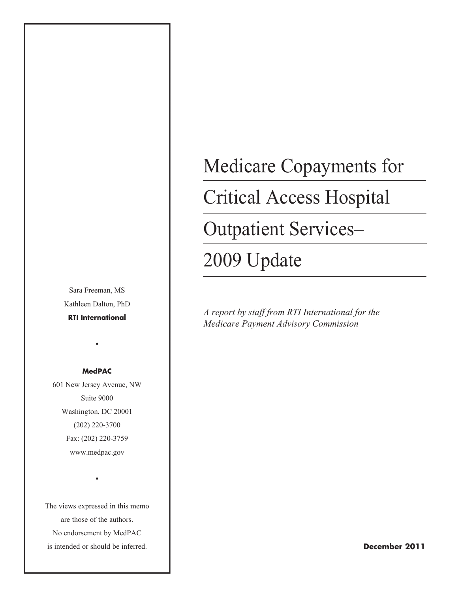Sara Freeman, MS Kathleen Dalton, PhD **RTI International**

•

**MedPAC**

601 New Jersey Avenue, NW Suite 9000 Washington, DC 20001 (202) 220-3700 Fax: (202) 220-3759 www.medpac.gov

The views expressed in this memo are those of the authors. No endorsement by MedPAC is intended or should be inferred.

•

# Medicare Copayments for Critical Access Hospital Outpatient Services– 2009 Update

*A report by staff from RTI International for the Medicare Payment Advisory Commission*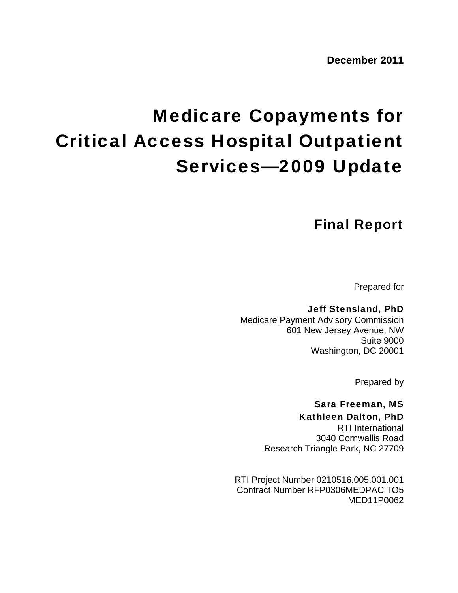## Medicare Copayments for Critical Access Hospital Outpatient Services—2009 Update

## Final Report

Prepared for

Jeff Stensland, PhD Medicare Payment Advisory Commission 601 New Jersey Avenue, NW Suite 9000 Washington, DC 20001

Prepared by

#### Sara Freeman, MS Kathleen Dalton, PhD

RTI International 3040 Cornwallis Road Research Triangle Park, NC 27709

RTI Project Number 0210516.005.001.001 Contract Number RFP0306MEDPAC TO5 MED11P0062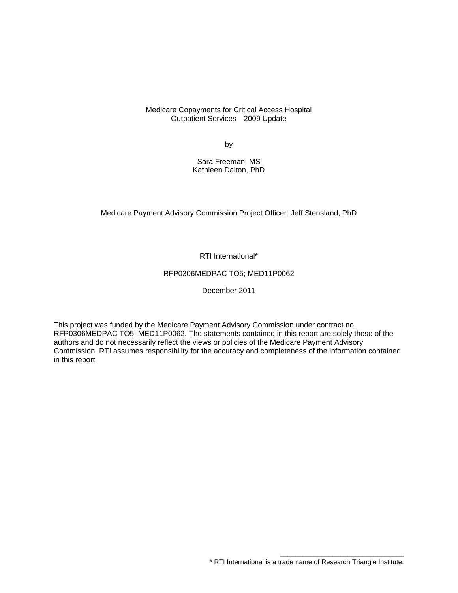Medicare Copayments for Critical Access Hospital Outpatient Services—2009 Update

by

Sara Freeman, MS Kathleen Dalton, PhD

Medicare Payment Advisory Commission Project Officer: Jeff Stensland, PhD

RTI International\*

#### RFP0306MEDPAC TO5; MED11P0062

December 2011

This project was funded by the Medicare Payment Advisory Commission under contract no. RFP0306MEDPAC TO5; MED11P0062. The statements contained in this report are solely those of the authors and do not necessarily reflect the views or policies of the Medicare Payment Advisory Commission. RTI assumes responsibility for the accuracy and completeness of the information contained in this report.

\_\_\_\_\_\_\_\_\_\_\_\_\_\_\_\_\_\_\_\_\_\_\_\_\_\_\_\_\_\_\_\_\_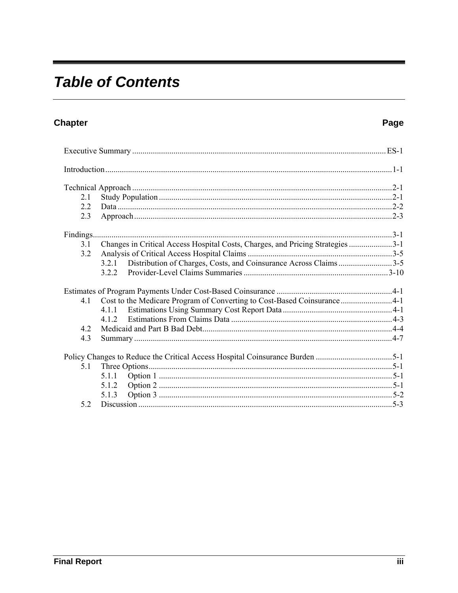## **Table of Contents**

### Chapter

#### Page

-

| 2.1 |                                                                                |  |
|-----|--------------------------------------------------------------------------------|--|
| 2.2 |                                                                                |  |
| 2.3 |                                                                                |  |
|     |                                                                                |  |
| 3.1 | Changes in Critical Access Hospital Costs, Charges, and Pricing Strategies 3-1 |  |
| 3.2 |                                                                                |  |
|     | 3.2.1 Distribution of Charges, Costs, and Coinsurance Across Claims3-5         |  |
|     |                                                                                |  |
|     |                                                                                |  |
| 4.1 | Cost to the Medicare Program of Converting to Cost-Based Coinsurance4-1        |  |
|     | 4 1 1                                                                          |  |
|     |                                                                                |  |
| 4.2 |                                                                                |  |
| 4.3 |                                                                                |  |
|     |                                                                                |  |
| 5.1 |                                                                                |  |
|     | 5.1.1                                                                          |  |
|     | 5.1.2                                                                          |  |
|     | 5.1.3                                                                          |  |
| 5.2 |                                                                                |  |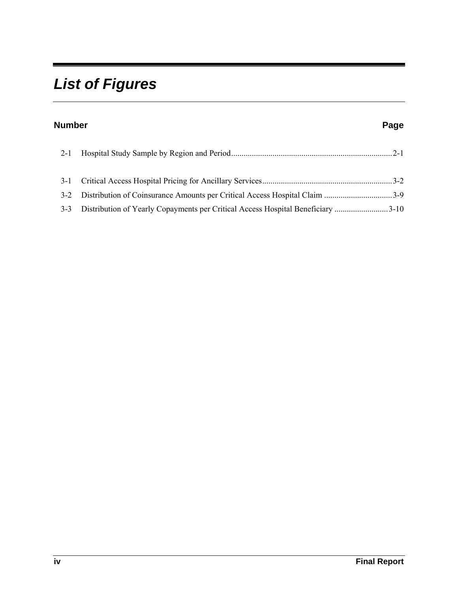## *List of Figures*

| <b>Number</b> |                                                                                 | Page |
|---------------|---------------------------------------------------------------------------------|------|
| $2 - 1$       |                                                                                 |      |
| $3 - 1$       |                                                                                 |      |
|               | 3-2 Distribution of Coinsurance Amounts per Critical Access Hospital Claim 3-9  |      |
| $3 - 3$       | Distribution of Yearly Copayments per Critical Access Hospital Beneficiary 3-10 |      |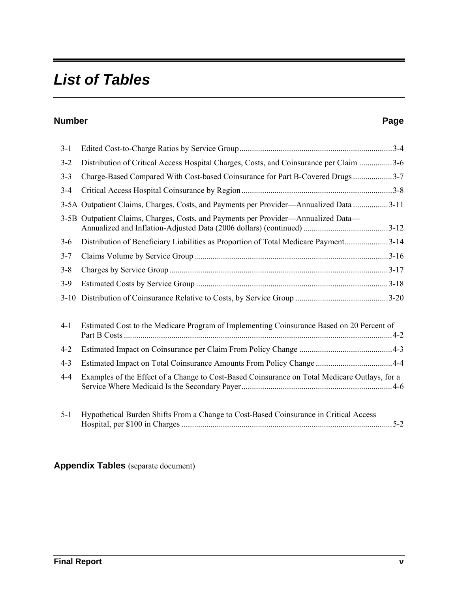## *List of Tables*

#### **Number Page**

| $3 - 1$  |                                                                                               |
|----------|-----------------------------------------------------------------------------------------------|
| $3 - 2$  | Distribution of Critical Access Hospital Charges, Costs, and Coinsurance per Claim 3-6        |
| $3 - 3$  | Charge-Based Compared With Cost-based Coinsurance for Part B-Covered Drugs 3-7                |
| $3 - 4$  |                                                                                               |
|          | 3-5A Outpatient Claims, Charges, Costs, and Payments per Provider—Annualized Data 3-11        |
|          | 3-5B Outpatient Claims, Charges, Costs, and Payments per Provider—Annualized Data—            |
| $3-6$    | Distribution of Beneficiary Liabilities as Proportion of Total Medicare Payment3-14           |
| $3 - 7$  |                                                                                               |
| $3 - 8$  |                                                                                               |
| $3 - 9$  |                                                                                               |
| $3 - 10$ |                                                                                               |
| $4 - 1$  | Estimated Cost to the Medicare Program of Implementing Coinsurance Based on 20 Percent of     |
| $4 - 2$  |                                                                                               |
| $4 - 3$  |                                                                                               |
| $4 - 4$  | Examples of the Effect of a Change to Cost-Based Coinsurance on Total Medicare Outlays, for a |
| $5 - 1$  | Hypothetical Burden Shifts From a Change to Cost-Based Coinsurance in Critical Access         |

#### **Appendix Tables** (separate document)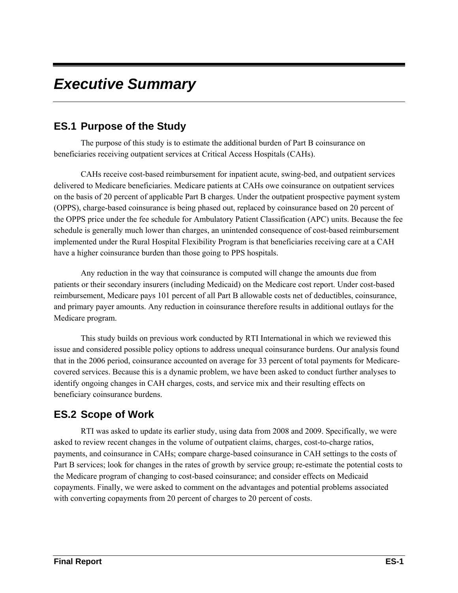## *Executive Summary*

#### **ES.1 Purpose of the Study**

The purpose of this study is to estimate the additional burden of Part B coinsurance on beneficiaries receiving outpatient services at Critical Access Hospitals (CAHs).

CAHs receive cost-based reimbursement for inpatient acute, swing-bed, and outpatient services delivered to Medicare beneficiaries. Medicare patients at CAHs owe coinsurance on outpatient services on the basis of 20 percent of applicable Part B charges. Under the outpatient prospective payment system (OPPS), charge-based coinsurance is being phased out, replaced by coinsurance based on 20 percent of the OPPS price under the fee schedule for Ambulatory Patient Classification (APC) units. Because the fee schedule is generally much lower than charges, an unintended consequence of cost-based reimbursement implemented under the Rural Hospital Flexibility Program is that beneficiaries receiving care at a CAH have a higher coinsurance burden than those going to PPS hospitals.

Any reduction in the way that coinsurance is computed will change the amounts due from patients or their secondary insurers (including Medicaid) on the Medicare cost report. Under cost-based reimbursement, Medicare pays 101 percent of all Part B allowable costs net of deductibles, coinsurance, and primary payer amounts. Any reduction in coinsurance therefore results in additional outlays for the Medicare program.

This study builds on previous work conducted by RTI International in which we reviewed this issue and considered possible policy options to address unequal coinsurance burdens. Our analysis found that in the 2006 period, coinsurance accounted on average for 33 percent of total payments for Medicarecovered services. Because this is a dynamic problem, we have been asked to conduct further analyses to identify ongoing changes in CAH charges, costs, and service mix and their resulting effects on beneficiary coinsurance burdens.

### **ES.2 Scope of Work**

RTI was asked to update its earlier study, using data from 2008 and 2009. Specifically, we were asked to review recent changes in the volume of outpatient claims, charges, cost-to-charge ratios, payments, and coinsurance in CAHs; compare charge-based coinsurance in CAH settings to the costs of Part B services; look for changes in the rates of growth by service group; re-estimate the potential costs to the Medicare program of changing to cost-based coinsurance; and consider effects on Medicaid copayments. Finally, we were asked to comment on the advantages and potential problems associated with converting copayments from 20 percent of charges to 20 percent of costs.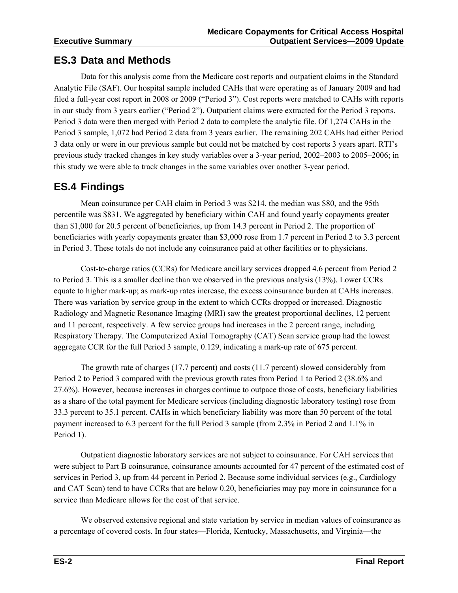#### **ES.3 Data and Methods**

Data for this analysis come from the Medicare cost reports and outpatient claims in the Standard Analytic File (SAF). Our hospital sample included CAHs that were operating as of January 2009 and had filed a full-year cost report in 2008 or 2009 ("Period 3"). Cost reports were matched to CAHs with reports in our study from 3 years earlier ("Period 2"). Outpatient claims were extracted for the Period 3 reports. Period 3 data were then merged with Period 2 data to complete the analytic file. Of 1,274 CAHs in the Period 3 sample, 1,072 had Period 2 data from 3 years earlier. The remaining 202 CAHs had either Period 3 data only or were in our previous sample but could not be matched by cost reports 3 years apart. RTI's previous study tracked changes in key study variables over a 3-year period, 2002–2003 to 2005–2006; in this study we were able to track changes in the same variables over another 3-year period.

#### **ES.4 Findings**

Mean coinsurance per CAH claim in Period 3 was \$214, the median was \$80, and the 95th percentile was \$831. We aggregated by beneficiary within CAH and found yearly copayments greater than \$1,000 for 20.5 percent of beneficiaries, up from 14.3 percent in Period 2. The proportion of beneficiaries with yearly copayments greater than \$3,000 rose from 1.7 percent in Period 2 to 3.3 percent in Period 3. These totals do not include any coinsurance paid at other facilities or to physicians.

Cost-to-charge ratios (CCRs) for Medicare ancillary services dropped 4.6 percent from Period 2 to Period 3. This is a smaller decline than we observed in the previous analysis (13%). Lower CCRs equate to higher mark-up; as mark-up rates increase, the excess coinsurance burden at CAHs increases. There was variation by service group in the extent to which CCRs dropped or increased. Diagnostic Radiology and Magnetic Resonance Imaging (MRI) saw the greatest proportional declines, 12 percent and 11 percent, respectively. A few service groups had increases in the 2 percent range, including Respiratory Therapy. The Computerized Axial Tomography (CAT) Scan service group had the lowest aggregate CCR for the full Period 3 sample, 0.129, indicating a mark-up rate of 675 percent.

The growth rate of charges (17.7 percent) and costs (11.7 percent) slowed considerably from Period 2 to Period 3 compared with the previous growth rates from Period 1 to Period 2 (38.6% and 27.6%). However, because increases in charges continue to outpace those of costs, beneficiary liabilities as a share of the total payment for Medicare services (including diagnostic laboratory testing) rose from 33.3 percent to 35.1 percent. CAHs in which beneficiary liability was more than 50 percent of the total payment increased to 6.3 percent for the full Period 3 sample (from 2.3% in Period 2 and 1.1% in Period 1).

Outpatient diagnostic laboratory services are not subject to coinsurance. For CAH services that were subject to Part B coinsurance, coinsurance amounts accounted for 47 percent of the estimated cost of services in Period 3, up from 44 percent in Period 2. Because some individual services (e.g., Cardiology and CAT Scan) tend to have CCRs that are below 0.20, beneficiaries may pay more in coinsurance for a service than Medicare allows for the cost of that service.

We observed extensive regional and state variation by service in median values of coinsurance as a percentage of covered costs. In four states—Florida, Kentucky, Massachusetts, and Virginia—the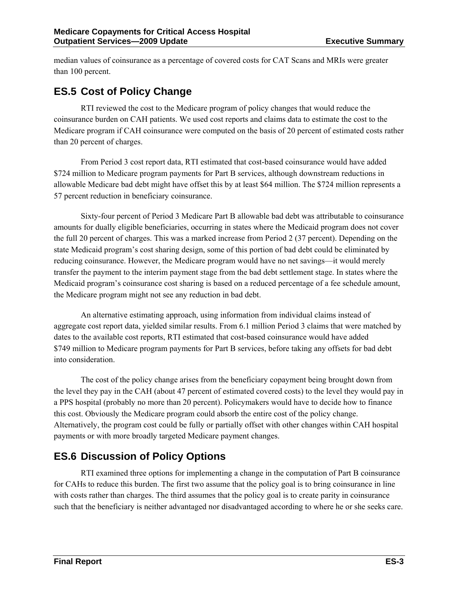median values of coinsurance as a percentage of covered costs for CAT Scans and MRIs were greater than 100 percent.

#### **ES.5 Cost of Policy Change**

RTI reviewed the cost to the Medicare program of policy changes that would reduce the coinsurance burden on CAH patients. We used cost reports and claims data to estimate the cost to the Medicare program if CAH coinsurance were computed on the basis of 20 percent of estimated costs rather than 20 percent of charges.

From Period 3 cost report data, RTI estimated that cost-based coinsurance would have added \$724 million to Medicare program payments for Part B services, although downstream reductions in allowable Medicare bad debt might have offset this by at least \$64 million. The \$724 million represents a 57 percent reduction in beneficiary coinsurance.

Sixty-four percent of Period 3 Medicare Part B allowable bad debt was attributable to coinsurance amounts for dually eligible beneficiaries, occurring in states where the Medicaid program does not cover the full 20 percent of charges. This was a marked increase from Period 2 (37 percent). Depending on the state Medicaid program's cost sharing design, some of this portion of bad debt could be eliminated by reducing coinsurance. However, the Medicare program would have no net savings—it would merely transfer the payment to the interim payment stage from the bad debt settlement stage. In states where the Medicaid program's coinsurance cost sharing is based on a reduced percentage of a fee schedule amount, the Medicare program might not see any reduction in bad debt.

An alternative estimating approach, using information from individual claims instead of aggregate cost report data, yielded similar results. From 6.1 million Period 3 claims that were matched by dates to the available cost reports, RTI estimated that cost-based coinsurance would have added \$749 million to Medicare program payments for Part B services, before taking any offsets for bad debt into consideration.

The cost of the policy change arises from the beneficiary copayment being brought down from the level they pay in the CAH (about 47 percent of estimated covered costs) to the level they would pay in a PPS hospital (probably no more than 20 percent). Policymakers would have to decide how to finance this cost. Obviously the Medicare program could absorb the entire cost of the policy change. Alternatively, the program cost could be fully or partially offset with other changes within CAH hospital payments or with more broadly targeted Medicare payment changes.

### **ES.6 Discussion of Policy Options**

RTI examined three options for implementing a change in the computation of Part B coinsurance for CAHs to reduce this burden. The first two assume that the policy goal is to bring coinsurance in line with costs rather than charges. The third assumes that the policy goal is to create parity in coinsurance such that the beneficiary is neither advantaged nor disadvantaged according to where he or she seeks care.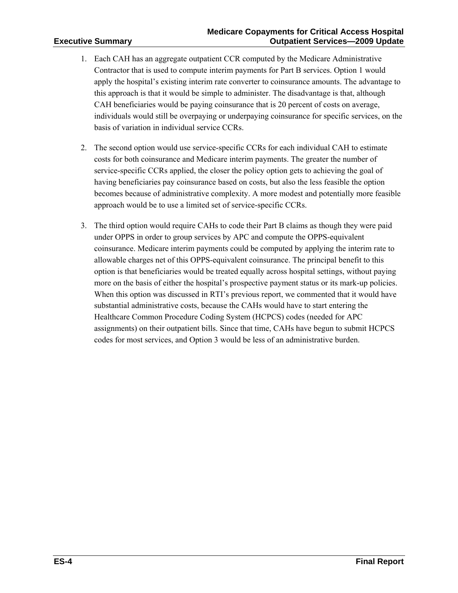- 1. Each CAH has an aggregate outpatient CCR computed by the Medicare Administrative Contractor that is used to compute interim payments for Part B services. Option 1 would apply the hospital's existing interim rate converter to coinsurance amounts. The advantage to this approach is that it would be simple to administer. The disadvantage is that, although CAH beneficiaries would be paying coinsurance that is 20 percent of costs on average, individuals would still be overpaying or underpaying coinsurance for specific services, on the basis of variation in individual service CCRs.
- 2. The second option would use service-specific CCRs for each individual CAH to estimate costs for both coinsurance and Medicare interim payments. The greater the number of service-specific CCRs applied, the closer the policy option gets to achieving the goal of having beneficiaries pay coinsurance based on costs, but also the less feasible the option becomes because of administrative complexity. A more modest and potentially more feasible approach would be to use a limited set of service-specific CCRs.
- 3. The third option would require CAHs to code their Part B claims as though they were paid under OPPS in order to group services by APC and compute the OPPS-equivalent coinsurance. Medicare interim payments could be computed by applying the interim rate to allowable charges net of this OPPS-equivalent coinsurance. The principal benefit to this option is that beneficiaries would be treated equally across hospital settings, without paying more on the basis of either the hospital's prospective payment status or its mark-up policies. When this option was discussed in RTI's previous report, we commented that it would have substantial administrative costs, because the CAHs would have to start entering the Healthcare Common Procedure Coding System (HCPCS) codes (needed for APC assignments) on their outpatient bills. Since that time, CAHs have begun to submit HCPCS codes for most services, and Option 3 would be less of an administrative burden.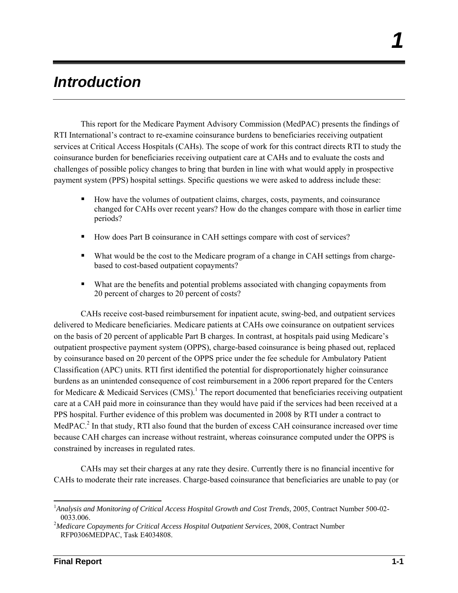## *Introduction*

This report for the Medicare Payment Advisory Commission (MedPAC) presents the findings of RTI International's contract to re-examine coinsurance burdens to beneficiaries receiving outpatient services at Critical Access Hospitals (CAHs). The scope of work for this contract directs RTI to study the coinsurance burden for beneficiaries receiving outpatient care at CAHs and to evaluate the costs and challenges of possible policy changes to bring that burden in line with what would apply in prospective payment system (PPS) hospital settings. Specific questions we were asked to address include these:

- How have the volumes of outpatient claims, charges, costs, payments, and coinsurance changed for CAHs over recent years? How do the changes compare with those in earlier time periods?
- How does Part B coinsurance in CAH settings compare with cost of services?
- What would be the cost to the Medicare program of a change in CAH settings from chargebased to cost-based outpatient copayments?
- What are the benefits and potential problems associated with changing copayments from 20 percent of charges to 20 percent of costs?

CAHs receive cost-based reimbursement for inpatient acute, swing-bed, and outpatient services delivered to Medicare beneficiaries. Medicare patients at CAHs owe coinsurance on outpatient services on the basis of 20 percent of applicable Part B charges. In contrast, at hospitals paid using Medicare's outpatient prospective payment system (OPPS), charge-based coinsurance is being phased out, replaced by coinsurance based on 20 percent of the OPPS price under the fee schedule for Ambulatory Patient Classification (APC) units. RTI first identified the potential for disproportionately higher coinsurance burdens as an unintended consequence of cost reimbursement in a 2006 report prepared for the Centers for Medicare & Medicaid Services (CMS).<sup>1</sup> The report documented that beneficiaries receiving outpatient care at a CAH paid more in coinsurance than they would have paid if the services had been received at a PPS hospital. Further evidence of this problem was documented in 2008 by RTI under a contract to MedPAC.<sup>2</sup> In that study, RTI also found that the burden of excess CAH coinsurance increased over time because CAH charges can increase without restraint, whereas coinsurance computed under the OPPS is constrained by increases in regulated rates.

CAHs may set their charges at any rate they desire. Currently there is no financial incentive for CAHs to moderate their rate increases. Charge-based coinsurance that beneficiaries are unable to pay (or

1

*1* 

<sup>&</sup>lt;sup>1</sup> Analysis and Monitoring of Critical Access Hospital Growth and Cost Trends, 2005, Contract Number 500-02-0033.006. 2 *Medicare Copayments for Critical Access Hospital Outpatient Services*, 2008, Contract Number

RFP0306MEDPAC, Task E4034808.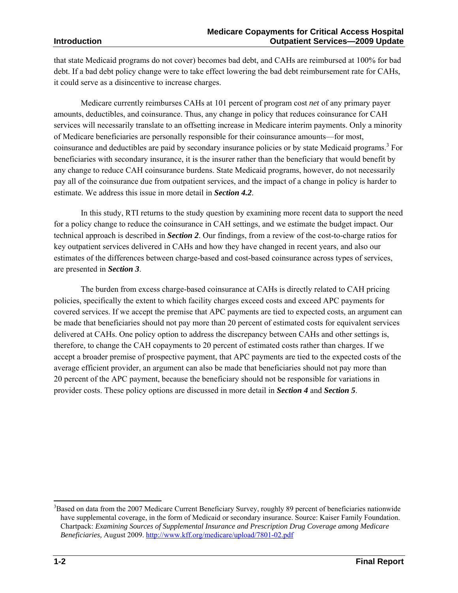that state Medicaid programs do not cover) becomes bad debt, and CAHs are reimbursed at 100% for bad debt. If a bad debt policy change were to take effect lowering the bad debt reimbursement rate for CAHs, it could serve as a disincentive to increase charges.

Medicare currently reimburses CAHs at 101 percent of program cost *net* of any primary payer amounts, deductibles, and coinsurance. Thus, any change in policy that reduces coinsurance for CAH services will necessarily translate to an offsetting increase in Medicare interim payments. Only a minority of Medicare beneficiaries are personally responsible for their coinsurance amounts—for most, coinsurance and deductibles are paid by secondary insurance policies or by state Medicaid programs.<sup>3</sup> For beneficiaries with secondary insurance, it is the insurer rather than the beneficiary that would benefit by any change to reduce CAH coinsurance burdens. State Medicaid programs, however, do not necessarily pay all of the coinsurance due from outpatient services, and the impact of a change in policy is harder to estimate. We address this issue in more detail in *Section 4.2*.

In this study, RTI returns to the study question by examining more recent data to support the need for a policy change to reduce the coinsurance in CAH settings, and we estimate the budget impact. Our technical approach is described in *Section 2*. Our findings, from a review of the cost-to-charge ratios for key outpatient services delivered in CAHs and how they have changed in recent years, and also our estimates of the differences between charge-based and cost-based coinsurance across types of services, are presented in *Section 3*.

The burden from excess charge-based coinsurance at CAHs is directly related to CAH pricing policies, specifically the extent to which facility charges exceed costs and exceed APC payments for covered services. If we accept the premise that APC payments are tied to expected costs, an argument can be made that beneficiaries should not pay more than 20 percent of estimated costs for equivalent services delivered at CAHs. One policy option to address the discrepancy between CAHs and other settings is, therefore, to change the CAH copayments to 20 percent of estimated costs rather than charges. If we accept a broader premise of prospective payment, that APC payments are tied to the expected costs of the average efficient provider, an argument can also be made that beneficiaries should not pay more than 20 percent of the APC payment, because the beneficiary should not be responsible for variations in provider costs. These policy options are discussed in more detail in *Section 4* and *Section 5*.

1

<sup>&</sup>lt;sup>3</sup>Based on data from the 2007 Medicare Current Beneficiary Survey, roughly 89 percent of beneficiaries nationwide have supplemental coverage, in the form of Medicaid or secondary insurance. Source: Kaiser Family Foundation. Chartpack: *Examining Sources of Supplemental Insurance and Prescription Drug Coverage among Medicare Beneficiaries,* August 2009. http://www.kff.org/medicare/upload/7801-02.pdf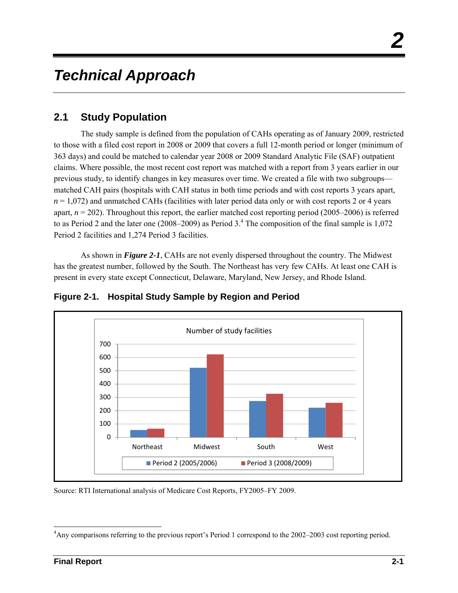## *Technical Approach*

### **2.1 Study Population**

The study sample is defined from the population of CAHs operating as of January 2009, restricted to those with a filed cost report in 2008 or 2009 that covers a full 12-month period or longer (minimum of 363 days) and could be matched to calendar year 2008 or 2009 Standard Analytic File (SAF) outpatient claims. Where possible, the most recent cost report was matched with a report from 3 years earlier in our previous study, to identify changes in key measures over time. We created a file with two subgroups matched CAH pairs (hospitals with CAH status in both time periods and with cost reports 3 years apart,  $n = 1,072$ ) and unmatched CAHs (facilities with later period data only or with cost reports 2 or 4 years apart, *n* = 202). Throughout this report, the earlier matched cost reporting period (2005–2006) is referred to as Period 2 and the later one (2008–2009) as Period  $3<sup>4</sup>$ . The composition of the final sample is 1,072 Period 2 facilities and 1,274 Period 3 facilities.

As shown in *Figure 2-1*, CAHs are not evenly dispersed throughout the country. The Midwest has the greatest number, followed by the South. The Northeast has very few CAHs. At least one CAH is present in every state except Connecticut, Delaware, Maryland, New Jersey, and Rhode Island.



**Figure 2-1. Hospital Study Sample by Region and Period** 

Source: RTI International analysis of Medicare Cost Reports, FY2005–FY 2009.

l <sup>4</sup>Any comparisons referring to the previous report's Period 1 correspond to the 2002–2003 cost reporting period.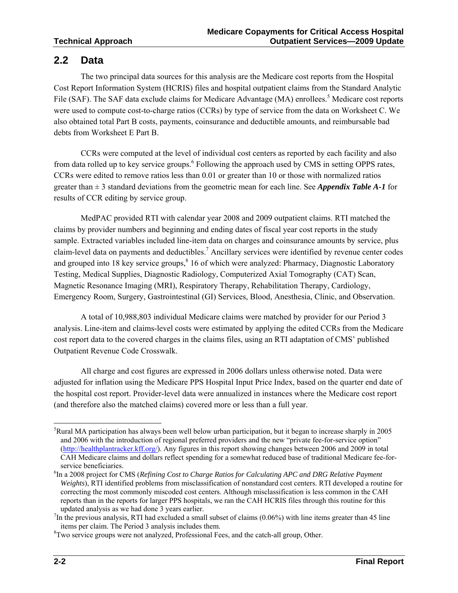#### **2.2 Data**

The two principal data sources for this analysis are the Medicare cost reports from the Hospital Cost Report Information System (HCRIS) files and hospital outpatient claims from the Standard Analytic File (SAF). The SAF data exclude claims for Medicare Advantage (MA) enrollees.<sup>5</sup> Medicare cost reports were used to compute cost-to-charge ratios (CCRs) by type of service from the data on Worksheet C. We also obtained total Part B costs, payments, coinsurance and deductible amounts, and reimbursable bad debts from Worksheet E Part B.

CCRs were computed at the level of individual cost centers as reported by each facility and also from data rolled up to key service groups.<sup>6</sup> Following the approach used by CMS in setting OPPS rates, CCRs were edited to remove ratios less than 0.01 or greater than 10 or those with normalized ratios greater than ± 3 standard deviations from the geometric mean for each line. See *Appendix Table A-1* for results of CCR editing by service group.

MedPAC provided RTI with calendar year 2008 and 2009 outpatient claims. RTI matched the claims by provider numbers and beginning and ending dates of fiscal year cost reports in the study sample. Extracted variables included line-item data on charges and coinsurance amounts by service, plus claim-level data on payments and deductibles.<sup>7</sup> Ancillary services were identified by revenue center codes and grouped into 18 key service groups,<sup>8</sup> 16 of which were analyzed: Pharmacy, Diagnostic Laboratory Testing, Medical Supplies, Diagnostic Radiology, Computerized Axial Tomography (CAT) Scan, Magnetic Resonance Imaging (MRI), Respiratory Therapy, Rehabilitation Therapy, Cardiology, Emergency Room, Surgery, Gastrointestinal (GI) Services, Blood, Anesthesia, Clinic, and Observation.

A total of 10,988,803 individual Medicare claims were matched by provider for our Period 3 analysis. Line-item and claims-level costs were estimated by applying the edited CCRs from the Medicare cost report data to the covered charges in the claims files, using an RTI adaptation of CMS' published Outpatient Revenue Code Crosswalk.

All charge and cost figures are expressed in 2006 dollars unless otherwise noted. Data were adjusted for inflation using the Medicare PPS Hospital Input Price Index, based on the quarter end date of the hospital cost report. Provider-level data were annualized in instances where the Medicare cost report (and therefore also the matched claims) covered more or less than a full year.

l 5 Rural MA participation has always been well below urban participation, but it began to increase sharply in 2005 and 2006 with the introduction of regional preferred providers and the new "private fee-for-service option" (http://healthplantracker.kff.org/). Any figures in this report showing changes between 2006 and 2009 in total CAH Medicare claims and dollars reflect spending for a somewhat reduced base of traditional Medicare fee-forservice beneficiaries.

<sup>&</sup>lt;sup>6</sup>In a 2008 project for CMS (*Refining Cost to Charge Ratios for Calculating APC and DRG Relative Payment Weights*), RTI identified problems from misclassification of nonstandard cost centers. RTI developed a routine for correcting the most commonly miscoded cost centers. Although misclassification is less common in the CAH reports than in the reports for larger PPS hospitals, we ran the CAH HCRIS files through this routine for this updated analysis as we had done 3 years earlier. 7

 $<sup>7</sup>$ In the previous analysis, RTI had excluded a small subset of claims (0.06%) with line items greater than 45 line</sup> items per claim. The Period 3 analysis includes them.

 ${}^{8}$ Two service groups were not analyzed, Professional Fees, and the catch-all group, Other.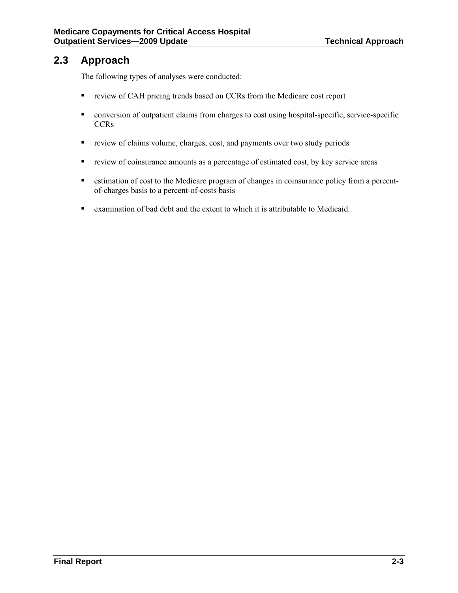#### **2.3 Approach**

The following types of analyses were conducted:

- review of CAH pricing trends based on CCRs from the Medicare cost report
- conversion of outpatient claims from charges to cost using hospital-specific, service-specific **CCRs**
- review of claims volume, charges, cost, and payments over two study periods
- **review of coinsurance amounts as a percentage of estimated cost, by key service areas**
- estimation of cost to the Medicare program of changes in coinsurance policy from a percentof-charges basis to a percent-of-costs basis
- examination of bad debt and the extent to which it is attributable to Medicaid.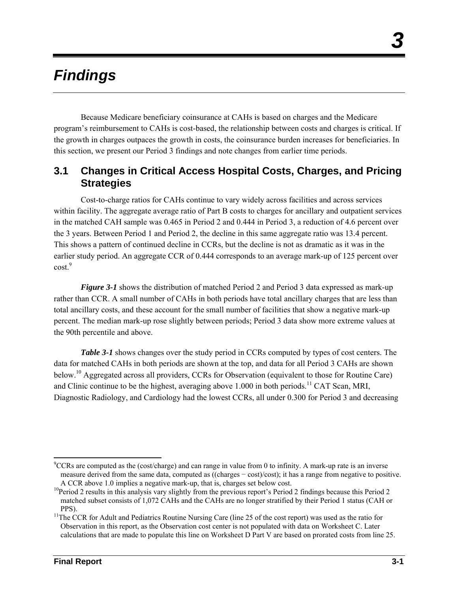## *Findings*

Because Medicare beneficiary coinsurance at CAHs is based on charges and the Medicare program's reimbursement to CAHs is cost-based, the relationship between costs and charges is critical. If the growth in charges outpaces the growth in costs, the coinsurance burden increases for beneficiaries. In this section, we present our Period 3 findings and note changes from earlier time periods.

#### **3.1 Changes in Critical Access Hospital Costs, Charges, and Pricing Strategies**

Cost-to-charge ratios for CAHs continue to vary widely across facilities and across services within facility. The aggregate average ratio of Part B costs to charges for ancillary and outpatient services in the matched CAH sample was 0.465 in Period 2 and 0.444 in Period 3, a reduction of 4.6 percent over the 3 years. Between Period 1 and Period 2, the decline in this same aggregate ratio was 13.4 percent. This shows a pattern of continued decline in CCRs, but the decline is not as dramatic as it was in the earlier study period. An aggregate CCR of 0.444 corresponds to an average mark-up of 125 percent over  $cost.<sup>9</sup>$ 

*Figure 3-1* shows the distribution of matched Period 2 and Period 3 data expressed as mark-up rather than CCR. A small number of CAHs in both periods have total ancillary charges that are less than total ancillary costs, and these account for the small number of facilities that show a negative mark-up percent. The median mark-up rose slightly between periods; Period 3 data show more extreme values at the 90th percentile and above.

*Table 3-1* shows changes over the study period in CCRs computed by types of cost centers. The data for matched CAHs in both periods are shown at the top, and data for all Period 3 CAHs are shown below.10 Aggregated across all providers, CCRs for Observation (equivalent to those for Routine Care) and Clinic continue to be the highest, averaging above  $1.000$  in both periods.<sup>11</sup> CAT Scan, MRI, Diagnostic Radiology, and Cardiology had the lowest CCRs, all under 0.300 for Period 3 and decreasing

l  ${}^{9}$ CCRs are computed as the (cost/charge) and can range in value from 0 to infinity. A mark-up rate is an inverse measure derived from the same data, computed as ((charges − cost)/cost); it has a range from negative to positive.

A CCR above 1.0 implies a negative mark-up, that is, charges set below cost.<br><sup>10</sup>Period 2 results in this analysis vary slightly from the previous report's Period 2 findings because this Period 2 matched subset consists of 1,072 CAHs and the CAHs are no longer stratified by their Period 1 status (CAH or

PPS).<br><sup>11</sup>The CCR for Adult and Pediatrics Routine Nursing Care (line 25 of the cost report) was used as the ratio for Observation in this report, as the Observation cost center is not populated with data on Worksheet C. Later calculations that are made to populate this line on Worksheet D Part V are based on prorated costs from line 25.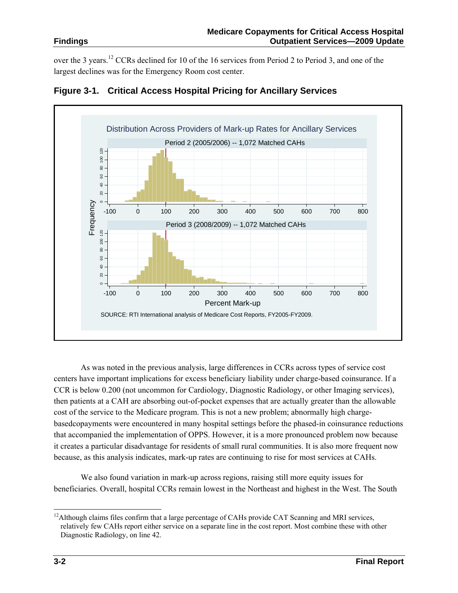over the 3 years.12 CCRs declined for 10 of the 16 services from Period 2 to Period 3, and one of the largest declines was for the Emergency Room cost center.





As was noted in the previous analysis, large differences in CCRs across types of service cost centers have important implications for excess beneficiary liability under charge-based coinsurance. If a CCR is below 0.200 (not uncommon for Cardiology, Diagnostic Radiology, or other Imaging services), then patients at a CAH are absorbing out-of-pocket expenses that are actually greater than the allowable cost of the service to the Medicare program. This is not a new problem; abnormally high chargebasedcopayments were encountered in many hospital settings before the phased-in coinsurance reductions that accompanied the implementation of OPPS. However, it is a more pronounced problem now because it creates a particular disadvantage for residents of small rural communities. It is also more frequent now because, as this analysis indicates, mark-up rates are continuing to rise for most services at CAHs.

We also found variation in mark-up across regions, raising still more equity issues for beneficiaries. Overall, hospital CCRs remain lowest in the Northeast and highest in the West. The South

l  $12$ Although claims files confirm that a large percentage of CAHs provide CAT Scanning and MRI services, relatively few CAHs report either service on a separate line in the cost report. Most combine these with other Diagnostic Radiology, on line 42.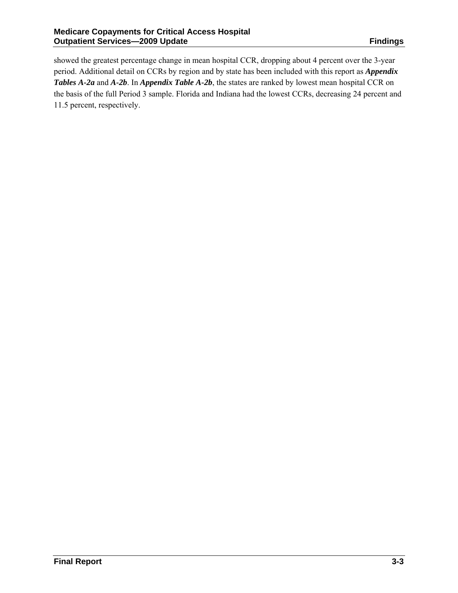showed the greatest percentage change in mean hospital CCR, dropping about 4 percent over the 3-year period. Additional detail on CCRs by region and by state has been included with this report as *Appendix Tables A-2a* and *A-2b*. In *Appendix Table A-2b*, the states are ranked by lowest mean hospital CCR on the basis of the full Period 3 sample. Florida and Indiana had the lowest CCRs, decreasing 24 percent and 11.5 percent, respectively.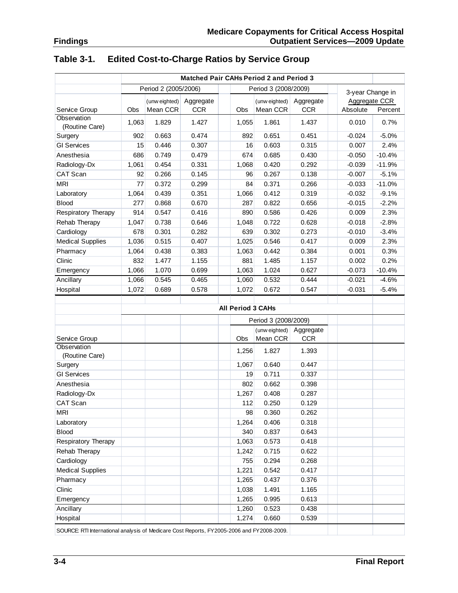|                                                                                             | Matched Pair CAHs Period 2 and Period 3      |               |            |  |                          |                      |                  |               |          |
|---------------------------------------------------------------------------------------------|----------------------------------------------|---------------|------------|--|--------------------------|----------------------|------------------|---------------|----------|
|                                                                                             | Period 2 (2005/2006)<br>Period 3 (2008/2009) |               |            |  |                          |                      | 3-year Change in |               |          |
|                                                                                             |                                              | (unw eighted) | Aggregate  |  |                          | (unw eighted)        | Aggregate        | Aggregate CCR |          |
| Service Group                                                                               | Obs                                          | Mean CCR      | <b>CCR</b> |  | Obs                      | Mean CCR             | <b>CCR</b>       | Absolute      | Percent  |
| Observation                                                                                 | 1,063                                        | 1.829         | 1.427      |  | 1,055                    | 1.861                | 1.437            | 0.010         | 0.7%     |
| (Routine Care)                                                                              |                                              |               |            |  |                          |                      |                  |               |          |
| Surgery                                                                                     | 902                                          | 0.663         | 0.474      |  | 892                      | 0.651                | 0.451            | $-0.024$      | $-5.0%$  |
| <b>GI Services</b>                                                                          | 15                                           | 0.446         | 0.307      |  | 16                       | 0.603                | 0.315            | 0.007         | 2.4%     |
| Anesthesia                                                                                  | 686                                          | 0.749         | 0.479      |  | 674                      | 0.685                | 0.430            | $-0.050$      | $-10.4%$ |
| Radiology-Dx                                                                                | 1,061                                        | 0.454         | 0.331      |  | 1,068                    | 0.420                | 0.292            | $-0.039$      | $-11.9%$ |
| CAT Scan                                                                                    | 92                                           | 0.266         | 0.145      |  | 96                       | 0.267                | 0.138            | $-0.007$      | $-5.1%$  |
| <b>MRI</b>                                                                                  | 77                                           | 0.372         | 0.299      |  | 84                       | 0.371                | 0.266            | $-0.033$      | $-11.0%$ |
| Laboratory                                                                                  | 1,064                                        | 0.439         | 0.351      |  | 1,066                    | 0.412                | 0.319            | $-0.032$      | $-9.1%$  |
| <b>Blood</b>                                                                                | 277                                          | 0.868         | 0.670      |  | 287                      | 0.822                | 0.656            | $-0.015$      | $-2.2%$  |
| Respiratory Therapy                                                                         | 914                                          | 0.547         | 0.416      |  | 890                      | 0.586                | 0.426            | 0.009         | 2.3%     |
| Rehab Therapy                                                                               | 1,047                                        | 0.738         | 0.646      |  | 1,048                    | 0.722                | 0.628            | $-0.018$      | $-2.8%$  |
| Cardiology                                                                                  | 678                                          | 0.301         | 0.282      |  | 639                      | 0.302                | 0.273            | $-0.010$      | $-3.4%$  |
| <b>Medical Supplies</b>                                                                     | 1,036                                        | 0.515         | 0.407      |  | 1,025                    | 0.546                | 0.417            | 0.009         | 2.3%     |
| Pharmacy                                                                                    | 1,064                                        | 0.438         | 0.383      |  | 1,063                    | 0.442                | 0.384            | 0.001         | 0.3%     |
| Clinic                                                                                      | 832                                          | 1.477         | 1.155      |  | 881                      | 1.485                | 1.157            | 0.002         | 0.2%     |
| Emergency                                                                                   | 1,066                                        | 1.070         | 0.699      |  | 1,063                    | 1.024                | 0.627            | $-0.073$      | $-10.4%$ |
| Ancillary                                                                                   | 1,066                                        | 0.545         | 0.465      |  | 1,060                    | 0.532                | 0.444            | $-0.021$      | $-4.6%$  |
| Hospital                                                                                    | 1,072                                        | 0.689         | 0.578      |  | 1,072                    | 0.672                | 0.547            | $-0.031$      | $-5.4%$  |
|                                                                                             |                                              |               |            |  |                          |                      |                  |               |          |
|                                                                                             |                                              |               |            |  | <b>All Period 3 CAHs</b> |                      |                  |               |          |
|                                                                                             |                                              |               |            |  |                          | Period 3 (2008/2009) |                  |               |          |
|                                                                                             |                                              |               |            |  |                          | (unw eighted)        | Aggregate        |               |          |
| Service Group                                                                               |                                              |               |            |  | Obs                      | Mean CCR             | <b>CCR</b>       |               |          |
| Observation                                                                                 |                                              |               |            |  | 1,256                    | 1.827                | 1.393            |               |          |
| (Routine Care)                                                                              |                                              |               |            |  |                          |                      |                  |               |          |
| Surgery                                                                                     |                                              |               |            |  | 1,067                    | 0.640                | 0.447            |               |          |
| <b>GI Services</b>                                                                          |                                              |               |            |  | 19                       | 0.711                | 0.337            |               |          |
| Anesthesia                                                                                  |                                              |               |            |  | 802                      | 0.662                | 0.398            |               |          |
| Radiology-Dx                                                                                |                                              |               |            |  | 1,267                    | 0.408                | 0.287            |               |          |
| CAT Scan                                                                                    |                                              |               |            |  | 112                      | 0.250                | 0.129            |               |          |
| MRI                                                                                         |                                              |               |            |  | 98                       | 0.360                | 0.262            |               |          |
| Laboratory                                                                                  |                                              |               |            |  | 1,264                    | 0.406                | 0.318            |               |          |
| <b>Blood</b>                                                                                |                                              |               |            |  | 340                      | 0.837                | 0.643            |               |          |
| Respiratory Therapy                                                                         |                                              |               |            |  | 1,063                    | 0.573                | 0.418            |               |          |
| Rehab Therapy                                                                               |                                              |               |            |  | 1,242                    | 0.715                | 0.622            |               |          |
| Cardiology                                                                                  |                                              |               |            |  | 755                      | 0.294                | 0.268            |               |          |
| <b>Medical Supplies</b>                                                                     |                                              |               |            |  | 1,221                    | 0.542                | 0.417            |               |          |
| Pharmacy                                                                                    |                                              |               |            |  | 1,265                    | 0.437                | 0.376            |               |          |
| Clinic                                                                                      |                                              |               |            |  | 1,038                    | 1.491                | 1.165            |               |          |
| Emergency                                                                                   |                                              |               |            |  | 1,265                    | 0.995                | 0.613            |               |          |
| Ancillary                                                                                   |                                              |               |            |  | 1,260                    | 0.523                | 0.438            |               |          |
| Hospital                                                                                    |                                              |               |            |  | 1,274                    | 0.660                | 0.539            |               |          |
| SOURCE: RTI International analysis of Medicare Cost Reports, FY 2005-2006 and FY 2008-2009. |                                              |               |            |  |                          |                      |                  |               |          |

#### **Table 3-1. Edited Cost-to-Charge Ratios by Service Group**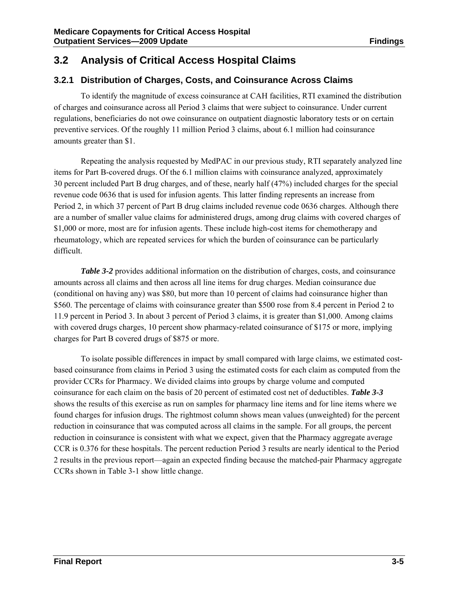#### **3.2 Analysis of Critical Access Hospital Claims**

#### **3.2.1 Distribution of Charges, Costs, and Coinsurance Across Claims**

To identify the magnitude of excess coinsurance at CAH facilities, RTI examined the distribution of charges and coinsurance across all Period 3 claims that were subject to coinsurance. Under current regulations, beneficiaries do not owe coinsurance on outpatient diagnostic laboratory tests or on certain preventive services. Of the roughly 11 million Period 3 claims, about 6.1 million had coinsurance amounts greater than \$1.

Repeating the analysis requested by MedPAC in our previous study, RTI separately analyzed line items for Part B-covered drugs. Of the 6.1 million claims with coinsurance analyzed, approximately 30 percent included Part B drug charges, and of these, nearly half (47%) included charges for the special revenue code 0636 that is used for infusion agents. This latter finding represents an increase from Period 2, in which 37 percent of Part B drug claims included revenue code 0636 charges. Although there are a number of smaller value claims for administered drugs, among drug claims with covered charges of \$1,000 or more, most are for infusion agents. These include high-cost items for chemotherapy and rheumatology, which are repeated services for which the burden of coinsurance can be particularly difficult.

*Table 3-2* provides additional information on the distribution of charges, costs, and coinsurance amounts across all claims and then across all line items for drug charges. Median coinsurance due (conditional on having any) was \$80, but more than 10 percent of claims had coinsurance higher than \$560. The percentage of claims with coinsurance greater than \$500 rose from 8.4 percent in Period 2 to 11.9 percent in Period 3. In about 3 percent of Period 3 claims, it is greater than \$1,000. Among claims with covered drugs charges, 10 percent show pharmacy-related coinsurance of \$175 or more, implying charges for Part B covered drugs of \$875 or more.

To isolate possible differences in impact by small compared with large claims, we estimated costbased coinsurance from claims in Period 3 using the estimated costs for each claim as computed from the provider CCRs for Pharmacy. We divided claims into groups by charge volume and computed coinsurance for each claim on the basis of 20 percent of estimated cost net of deductibles. *Table 3-3* shows the results of this exercise as run on samples for pharmacy line items and for line items where we found charges for infusion drugs. The rightmost column shows mean values (unweighted) for the percent reduction in coinsurance that was computed across all claims in the sample. For all groups, the percent reduction in coinsurance is consistent with what we expect, given that the Pharmacy aggregate average CCR is 0.376 for these hospitals. The percent reduction Period 3 results are nearly identical to the Period 2 results in the previous report—again an expected finding because the matched-pair Pharmacy aggregate CCRs shown in Table 3-1 show little change.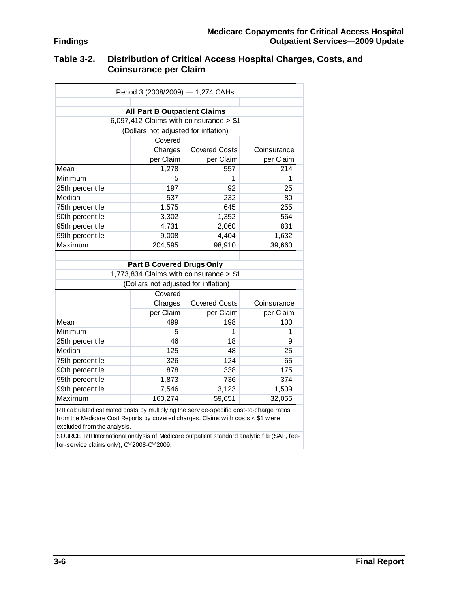#### **Table 3-2. Distribution of Critical Access Hospital Charges, Costs, and Coinsurance per Claim**

| Period 3 (2008/2009) - 1,274 CAHs                                                                                                                                                                           |                                      |                                          |             |  |  |  |  |
|-------------------------------------------------------------------------------------------------------------------------------------------------------------------------------------------------------------|--------------------------------------|------------------------------------------|-------------|--|--|--|--|
|                                                                                                                                                                                                             |                                      |                                          |             |  |  |  |  |
| <b>All Part B Outpatient Claims</b>                                                                                                                                                                         |                                      |                                          |             |  |  |  |  |
|                                                                                                                                                                                                             |                                      | 6,097,412 Claims with coinsurance $> $1$ |             |  |  |  |  |
|                                                                                                                                                                                                             | (Dollars not adjusted for inflation) |                                          |             |  |  |  |  |
|                                                                                                                                                                                                             | Covered                              |                                          |             |  |  |  |  |
|                                                                                                                                                                                                             | Charges                              | <b>Covered Costs</b>                     | Coinsurance |  |  |  |  |
|                                                                                                                                                                                                             | per Claim                            | per Claim                                | per Claim   |  |  |  |  |
| Mean                                                                                                                                                                                                        | 1,278                                | 557                                      | 214         |  |  |  |  |
| Minimum                                                                                                                                                                                                     | 5                                    | 1                                        | 1           |  |  |  |  |
| 25th percentile                                                                                                                                                                                             | 197                                  | 92                                       | 25          |  |  |  |  |
| Median                                                                                                                                                                                                      | 537                                  | 232                                      | 80          |  |  |  |  |
| 75th percentile                                                                                                                                                                                             | 1,575                                | 645                                      | 255         |  |  |  |  |
| 90th percentile                                                                                                                                                                                             | 3,302                                | 1,352                                    | 564         |  |  |  |  |
| 95th percentile                                                                                                                                                                                             | 4,731                                | 2,060                                    | 831         |  |  |  |  |
| 99th percentile                                                                                                                                                                                             | 9,008                                | 4,404                                    | 1,632       |  |  |  |  |
| Maximum                                                                                                                                                                                                     | 204,595                              | 98,910                                   | 39,660      |  |  |  |  |
|                                                                                                                                                                                                             |                                      |                                          |             |  |  |  |  |
|                                                                                                                                                                                                             | <b>Part B Covered Drugs Only</b>     |                                          |             |  |  |  |  |
|                                                                                                                                                                                                             |                                      | 1,773,834 Claims with coinsurance > \$1  |             |  |  |  |  |
|                                                                                                                                                                                                             | (Dollars not adjusted for inflation) |                                          |             |  |  |  |  |
| Covered                                                                                                                                                                                                     |                                      |                                          |             |  |  |  |  |
|                                                                                                                                                                                                             | Charges                              | <b>Covered Costs</b>                     | Coinsurance |  |  |  |  |
|                                                                                                                                                                                                             | per Claim                            | per Claim                                | per Claim   |  |  |  |  |
| Mean                                                                                                                                                                                                        | 499                                  | 198                                      | 100         |  |  |  |  |
| Minimum                                                                                                                                                                                                     | 5                                    | 1                                        | 1           |  |  |  |  |
| 25th percentile                                                                                                                                                                                             | 46                                   | 18                                       | 9           |  |  |  |  |
| Median                                                                                                                                                                                                      | 125                                  | 48                                       | 25          |  |  |  |  |
| 75th percentile                                                                                                                                                                                             | 326                                  | 124                                      | 65          |  |  |  |  |
| 90th percentile                                                                                                                                                                                             | 878                                  | 338                                      | 175         |  |  |  |  |
| 95th percentile                                                                                                                                                                                             | 1,873                                | 736                                      | 374         |  |  |  |  |
| 99th percentile                                                                                                                                                                                             | 7,546                                | 3,123                                    | 1,509       |  |  |  |  |
| Maximum                                                                                                                                                                                                     | 160,274                              | 59,651                                   | 32,055      |  |  |  |  |
| RTI calculated estimated costs by multiplying the service-specific cost-to-charge ratios<br>from the Medicare Cost Reports by covered charges. Claims with costs < \$1 w ere<br>excluded from the analysis. |                                      |                                          |             |  |  |  |  |

SOURCE: RTI International analysis of Medicare outpatient standard analytic file (SAF, feefor-service claims only), CY2008-CY2009.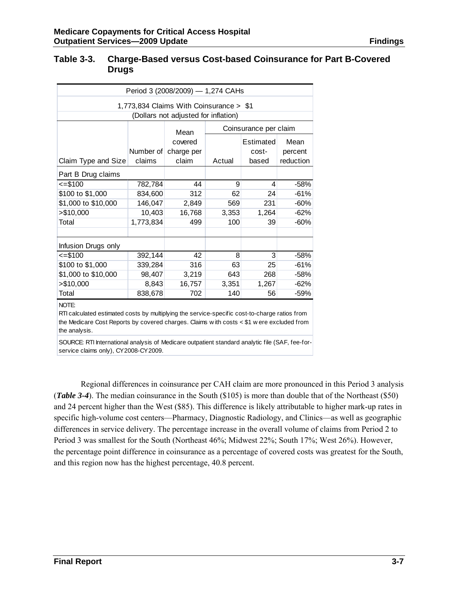| Table 3-3. | <b>Charge-Based versus Cost-based Coinsurance for Part B-Covered</b> |
|------------|----------------------------------------------------------------------|
|            | <b>Drugs</b>                                                         |

| Period 3 (2008/2009) - 1,274 CAHs                                                                      |           |                                      |                       |           |           |  |  |
|--------------------------------------------------------------------------------------------------------|-----------|--------------------------------------|-----------------------|-----------|-----------|--|--|
| 1,773,834 Claims With Coinsurance > \$1                                                                |           |                                      |                       |           |           |  |  |
|                                                                                                        |           | (Dollars not adjusted for inflation) |                       |           |           |  |  |
|                                                                                                        |           | Mean                                 | Coinsurance per claim |           |           |  |  |
|                                                                                                        |           | covered                              |                       | Estimated | Mean      |  |  |
|                                                                                                        | Number of | charge per                           |                       | cost-     | percent   |  |  |
| Claim Type and Size                                                                                    | claims    | claim                                | Actual                | based     | reduction |  |  |
| Part B Drug claims                                                                                     |           |                                      |                       |           |           |  |  |
| $= $100$                                                                                               | 782,784   | 44                                   | 9                     | 4         | $-58%$    |  |  |
| \$100 to \$1,000                                                                                       | 834,600   | 312                                  | 62                    | 24        | $-61%$    |  |  |
| \$1,000 to \$10,000                                                                                    | 146,047   | 2,849                                | 569                   | 231       | $-60%$    |  |  |
| > \$10,000                                                                                             | 10,403    | 16,768                               | 3,353                 | 1,264     | $-62%$    |  |  |
| Total                                                                                                  | 1,773,834 | 499                                  | 100                   | 39        | $-60%$    |  |  |
|                                                                                                        |           |                                      |                       |           |           |  |  |
| Infusion Drugs only                                                                                    |           |                                      |                       |           |           |  |  |
| $= $100$                                                                                               | 392,144   | 42                                   | 8                     | 3         | $-58%$    |  |  |
| \$100 to \$1,000                                                                                       | 339,284   | 316                                  | 63                    | 25        | $-61%$    |  |  |
| \$1,000 to \$10,000                                                                                    | 98,407    | 3,219                                | 643                   | 268       | $-58%$    |  |  |
| > \$10,000                                                                                             | 8,843     | 16,757                               | 3,351                 | 1,267     | $-62%$    |  |  |
| Total                                                                                                  | 838,678   | 702                                  | 140                   | 56        | $-59%$    |  |  |
| NOTE:<br>DTI coloulated estimated seste by multiplying the senvice specific sest to oberge ratios from |           |                                      |                       |           |           |  |  |

RTI calculated estimated costs by multiplying the service-specific cost-to-charge ratios from the Medicare Cost Reports by covered charges. Claims w ith costs < \$1 w ere excluded from the analysis.

SOURCE: RTI International analysis of Medicare outpatient standard analytic file (SAF, fee-forservice claims only), CY2008-CY2009.

Regional differences in coinsurance per CAH claim are more pronounced in this Period 3 analysis (*Table 3-4*). The median coinsurance in the South (\$105) is more than double that of the Northeast (\$50) and 24 percent higher than the West (\$85). This difference is likely attributable to higher mark-up rates in specific high-volume cost centers—Pharmacy, Diagnostic Radiology, and Clinics—as well as geographic differences in service delivery. The percentage increase in the overall volume of claims from Period 2 to Period 3 was smallest for the South (Northeast 46%; Midwest 22%; South 17%; West 26%). However, the percentage point difference in coinsurance as a percentage of covered costs was greatest for the South, and this region now has the highest percentage, 40.8 percent.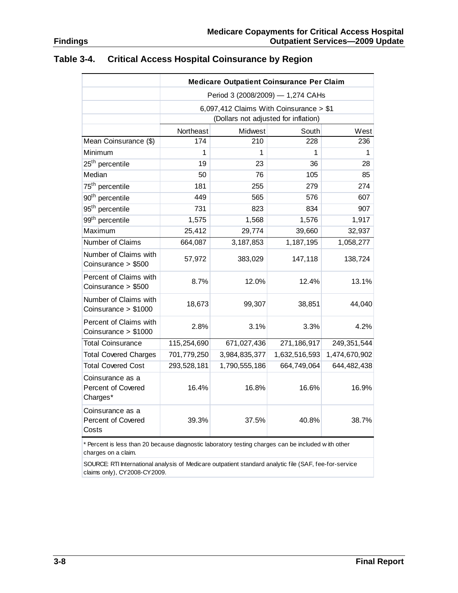|                                                    | <b>Medicare Outpatient Coinsurance Per Claim</b> |                  |               |               |  |  |  |  |
|----------------------------------------------------|--------------------------------------------------|------------------|---------------|---------------|--|--|--|--|
|                                                    | Period 3 (2008/2009) - 1,274 CAHs                |                  |               |               |  |  |  |  |
|                                                    | 6,097,412 Claims With Coinsurance > \$1          |                  |               |               |  |  |  |  |
|                                                    | (Dollars not adjusted for inflation)             |                  |               |               |  |  |  |  |
|                                                    | Northeast                                        | Midwest<br>South |               |               |  |  |  |  |
| Mean Coinsurance (\$)                              | 174                                              | 210              | 228           | 236           |  |  |  |  |
| Minimum                                            | 1                                                | 1                | 1             | 1             |  |  |  |  |
| 25 <sup>th</sup> percentile                        | 19                                               | 23               | 36            | 28            |  |  |  |  |
| Median                                             | 50                                               | 76               | 105           | 85            |  |  |  |  |
| 75 <sup>th</sup> percentile                        | 181                                              | 255              | 279           | 274           |  |  |  |  |
| 90 <sup>th</sup> percentile                        | 449                                              | 565              | 576           | 607           |  |  |  |  |
| 95 <sup>th</sup> percentile                        | 731                                              | 823              | 834           | 907           |  |  |  |  |
| 99 <sup>th</sup> percentile                        | 1,575                                            | 1,568            | 1,576         | 1,917         |  |  |  |  |
| Maximum                                            | 25,412                                           | 29,774           | 39,660        | 32,937        |  |  |  |  |
| Number of Claims                                   | 664,087                                          | 3,187,853        | 1,187,195     | 1,058,277     |  |  |  |  |
| Number of Claims with<br>Coinsurance > \$500       | 57,972                                           | 383,029          | 147,118       | 138,724       |  |  |  |  |
| Percent of Claims with<br>Coinsurance > \$500      | 8.7%                                             | 12.0%            | 12.4%         | 13.1%         |  |  |  |  |
| Number of Claims with<br>Coinsurance > \$1000      | 18,673                                           | 99,307           | 38,851        | 44,040        |  |  |  |  |
| Percent of Claims with<br>Coinsurance > \$1000     | 2.8%                                             | 3.1%             | 3.3%          | 4.2%          |  |  |  |  |
| <b>Total Coinsurance</b>                           | 115,254,690                                      | 671,027,436      | 271,186,917   | 249,351,544   |  |  |  |  |
| <b>Total Covered Charges</b>                       | 701,779,250                                      | 3,984,835,377    | 1,632,516,593 | 1,474,670,902 |  |  |  |  |
| <b>Total Covered Cost</b>                          | 293,528,181                                      | 1,790,555,186    | 664,749,064   | 644,482,438   |  |  |  |  |
| Coinsurance as a<br>Percent of Covered<br>Charges* | 16.4%                                            | 16.8%            | 16.6%         | 16.9%         |  |  |  |  |
| Coinsurance as a<br>Percent of Covered<br>Costs    | 39.3%                                            | 37.5%            | 40.8%         | 38.7%         |  |  |  |  |

#### **Table 3-4. Critical Access Hospital Coinsurance by Region**

\* Percent is less than 20 because diagnostic laboratory testing charges can be included w ith other charges on a claim.

SOURCE: RTI International analysis of Medicare outpatient standard analytic file (SAF, fee-for-service claims only), CY2008-CY2009.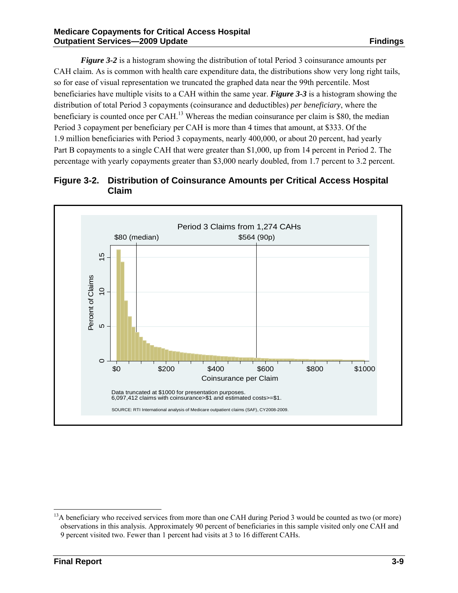*Figure 3-2* is a histogram showing the distribution of total Period 3 coinsurance amounts per CAH claim. As is common with health care expenditure data, the distributions show very long right tails, so for ease of visual representation we truncated the graphed data near the 99th percentile. Most beneficiaries have multiple visits to a CAH within the same year. *Figure 3-3* is a histogram showing the distribution of total Period 3 copayments (coinsurance and deductibles) *per beneficiary*, where the beneficiary is counted once per  $CAH<sup>13</sup>$  Whereas the median coinsurance per claim is \$80, the median Period 3 copayment per beneficiary per CAH is more than 4 times that amount, at \$333. Of the 1.9 million beneficiaries with Period 3 copayments, nearly 400,000, or about 20 percent, had yearly Part B copayments to a single CAH that were greater than \$1,000, up from 14 percent in Period 2. The percentage with yearly copayments greater than \$3,000 nearly doubled, from 1.7 percent to 3.2 percent.





l

<sup>&</sup>lt;sup>13</sup>A beneficiary who received services from more than one CAH during Period 3 would be counted as two (or more) observations in this analysis. Approximately 90 percent of beneficiaries in this sample visited only one CAH and 9 percent visited two. Fewer than 1 percent had visits at 3 to 16 different CAHs.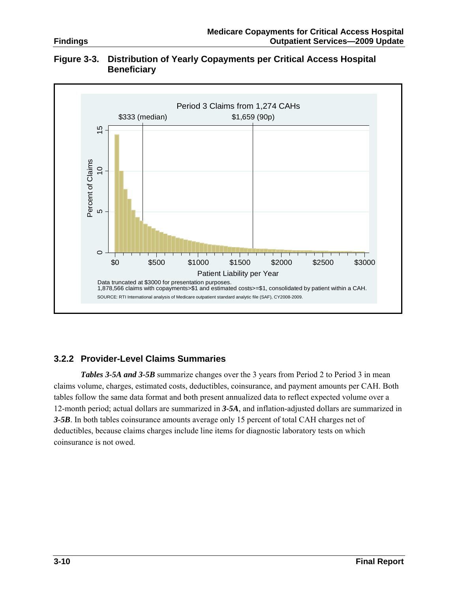

#### **Figure 3-3. Distribution of Yearly Copayments per Critical Access Hospital Beneficiary**

#### **3.2.2 Provider-Level Claims Summaries**

**Tables 3-5A and 3-5B** summarize changes over the 3 years from Period 2 to Period 3 in mean claims volume, charges, estimated costs, deductibles, coinsurance, and payment amounts per CAH. Both tables follow the same data format and both present annualized data to reflect expected volume over a 12-month period; actual dollars are summarized in *3-5A*, and inflation-adjusted dollars are summarized in *3-5B*. In both tables coinsurance amounts average only 15 percent of total CAH charges net of deductibles, because claims charges include line items for diagnostic laboratory tests on which coinsurance is not owed.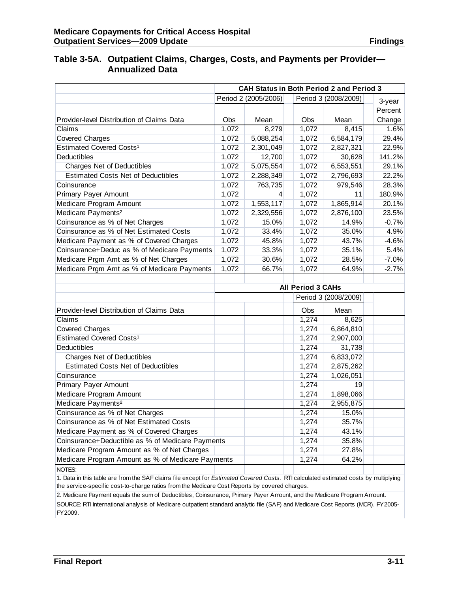#### **Table 3-5A. Outpatient Claims, Charges, Costs, and Payments per Provider— Annualized Data**

|                                                   | <b>CAH Status in Both Period 2 and Period 3</b> |           |                          |                      |         |
|---------------------------------------------------|-------------------------------------------------|-----------|--------------------------|----------------------|---------|
|                                                   | Period 2 (2005/2006)                            | 3-year    |                          |                      |         |
|                                                   |                                                 |           |                          |                      | Percent |
| Provider-level Distribution of Claims Data        | <b>Obs</b>                                      | Mean      | Obs                      | Mean                 | Change  |
| Claims                                            | 1,072                                           | 8,279     | 1,072                    | 8,415                | 1.6%    |
| <b>Covered Charges</b>                            | 1,072                                           | 5,088,254 | 1,072                    | 6,584,179            | 29.4%   |
| Estimated Covered Costs <sup>1</sup>              | 1,072                                           | 2,301,049 | 1,072                    | 2,827,321            | 22.9%   |
| Deductibles                                       | 1,072                                           | 12,700    | 1,072                    | 30,628               | 141.2%  |
| Charges Net of Deductibles                        | 1,072                                           | 5,075,554 | 1,072                    | 6,553,551            | 29.1%   |
| <b>Estimated Costs Net of Deductibles</b>         | 1,072                                           | 2,288,349 | 1,072                    | 2,796,693            | 22.2%   |
| Coinsurance                                       | 1,072                                           | 763,735   | 1,072                    | 979,546              | 28.3%   |
| <b>Primary Payer Amount</b>                       | 1,072                                           | 4         | 1,072                    | 11                   | 180.9%  |
| Medicare Program Amount                           | 1,072                                           | 1,553,117 | 1,072                    | 1,865,914            | 20.1%   |
| Medicare Payments <sup>2</sup>                    | 1,072                                           | 2,329,556 | 1,072                    | 2,876,100            | 23.5%   |
| Coinsurance as % of Net Charges                   | 1,072                                           | 15.0%     | 1,072                    | 14.9%                | $-0.7%$ |
| Coinsurance as % of Net Estimated Costs           | 1,072                                           | 33.4%     | 1,072                    | 35.0%                | 4.9%    |
| Medicare Payment as % of Covered Charges          | 1,072                                           | 45.8%     | 1,072                    | 43.7%                | $-4.6%$ |
| Coinsurance+Deduc as % of Medicare Payments       | 1,072                                           | 33.3%     | 1,072                    | 35.1%                | 5.4%    |
| Medicare Prgm Amt as % of Net Charges             | 1,072                                           | 30.6%     | 1,072                    | 28.5%                | $-7.0%$ |
| Medicare Prgm Amt as % of Medicare Payments       | 1,072                                           | 66.7%     | 1,072                    | 64.9%                | $-2.7%$ |
|                                                   |                                                 |           |                          |                      |         |
|                                                   |                                                 |           | <b>All Period 3 CAHs</b> |                      |         |
|                                                   |                                                 |           |                          | Period 3 (2008/2009) |         |
| Provider-level Distribution of Claims Data        |                                                 |           | Obs                      | Mean                 |         |
| Claims                                            |                                                 |           | 1,274                    | 8,625                |         |
| <b>Covered Charges</b>                            |                                                 |           | 1,274                    | 6,864,810            |         |
| Estimated Covered Costs <sup>1</sup>              |                                                 |           | 1,274                    | 2,907,000            |         |
| Deductibles                                       |                                                 |           | 1,274                    | 31,738               |         |
| <b>Charges Net of Deductibles</b>                 |                                                 |           | 1,274                    | 6,833,072            |         |
| <b>Estimated Costs Net of Deductibles</b>         |                                                 |           | 1,274                    | 2,875,262            |         |
| Coinsurance                                       |                                                 |           | 1,274                    | 1,026,051            |         |
| Primary Payer Amount                              |                                                 |           | 1,274                    | 19                   |         |
| Medicare Program Amount                           |                                                 |           | 1,274                    | 1,898,066            |         |
| Medicare Payments <sup>2</sup>                    |                                                 |           | 1,274                    | 2,955,875            |         |
| Coinsurance as % of Net Charges                   |                                                 |           | 1,274                    | 15.0%                |         |
| Coinsurance as % of Net Estimated Costs           |                                                 |           | 1,274                    | 35.7%                |         |
| Medicare Payment as % of Covered Charges          |                                                 |           | 1,274                    | 43.1%                |         |
| Coinsurance+Deductible as % of Medicare Payments  |                                                 |           | 1,274                    | 35.8%                |         |
| Medicare Program Amount as % of Net Charges       |                                                 |           | 1,274                    | 27.8%                |         |
| Medicare Program Amount as % of Medicare Payments |                                                 |           | 1,274                    | 64.2%                |         |
| NOTES:                                            |                                                 |           |                          |                      |         |

1. Data in this table are from the SAF claims file except for *Estimated Covered Costs.* RTI calculated estimated costs by multiplying the service-specific cost-to-charge ratios from the Medicare Cost Reports by covered charges.

2. Medicare Payment equals the sum of Deductibles, Coinsurance, Primary Payer Amount, and the Medicare Program Amount.

SOURCE: RTI International analysis of Medicare outpatient standard analytic file (SAF) and Medicare Cost Reports (MCR), FY2005- FY2009.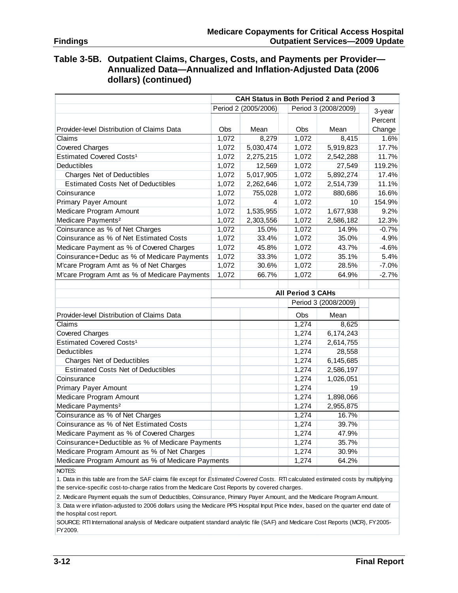#### **Table 3-5B. Outpatient Claims, Charges, Costs, and Payments per Provider— Annualized Data—Annualized and Inflation-Adjusted Data (2006 dollars) (continued)**

|                                                   | <b>CAH Status in Both Period 2 and Period 3</b> |                                              |                          |                      |         |
|---------------------------------------------------|-------------------------------------------------|----------------------------------------------|--------------------------|----------------------|---------|
|                                                   |                                                 | Period 2 (2005/2006)<br>Period 3 (2008/2009) |                          |                      | 3-year  |
|                                                   |                                                 |                                              |                          |                      | Percent |
| Provider-level Distribution of Claims Data        | Obs                                             | Mean                                         | Obs                      | Mean                 | Change  |
| Claims                                            | 1,072                                           | 8,279                                        | 1,072                    | 8,415                | 1.6%    |
| <b>Covered Charges</b>                            | 1,072                                           | 5,030,474                                    | 1,072                    | 5,919,823            | 17.7%   |
| Estimated Covered Costs <sup>1</sup>              | 1,072                                           | 2,275,215                                    | 1,072                    | 2,542,288            | 11.7%   |
| Deductibles                                       | 1,072                                           | 12,569                                       | 1,072                    | 27,549               | 119.2%  |
| <b>Charges Net of Deductibles</b>                 | 1,072                                           | 5,017,905                                    | 1,072                    | 5,892,274            | 17.4%   |
| <b>Estimated Costs Net of Deductibles</b>         | 1,072                                           | 2,262,646                                    | 1,072                    | 2,514,739            | 11.1%   |
| Coinsurance                                       | 1,072                                           | 755,028                                      | 1,072                    | 880,686              | 16.6%   |
| <b>Primary Payer Amount</b>                       | 1,072                                           | $\overline{4}$                               | 1,072                    | 10                   | 154.9%  |
| Medicare Program Amount                           | 1,072                                           | 1,535,955                                    | 1,072                    | 1,677,938            | 9.2%    |
| Medicare Payments <sup>2</sup>                    | 1,072                                           | 2,303,556                                    | 1,072                    | 2,586,182            | 12.3%   |
| Coinsurance as % of Net Charges                   | 1,072                                           | 15.0%                                        | 1,072                    | 14.9%                | $-0.7%$ |
| Coinsurance as % of Net Estimated Costs           | 1,072                                           | 33.4%                                        | 1,072                    | 35.0%                | 4.9%    |
| Medicare Payment as % of Covered Charges          | 1,072                                           | 45.8%                                        | 1,072                    | 43.7%                | $-4.6%$ |
| Coinsurance+Deduc as % of Medicare Payments       | 1,072                                           | 33.3%                                        | 1,072                    | 35.1%                | 5.4%    |
| M'care Program Amt as % of Net Charges            | 1,072                                           | 30.6%                                        | 1,072                    | 28.5%                | $-7.0%$ |
| M'care Program Amt as % of Medicare Payments      | 1,072                                           | 66.7%                                        | 1,072                    | 64.9%                | $-2.7%$ |
|                                                   |                                                 |                                              |                          |                      |         |
|                                                   |                                                 |                                              | <b>All Period 3 CAHs</b> |                      |         |
|                                                   |                                                 |                                              |                          | Period 3 (2008/2009) |         |
| Provider-level Distribution of Claims Data        |                                                 |                                              | Obs                      | Mean                 |         |
| Claims                                            |                                                 |                                              | 1,274                    | 8,625                |         |
| <b>Covered Charges</b>                            |                                                 |                                              | 1,274                    | 6,174,243            |         |
| Estimated Covered Costs <sup>1</sup>              |                                                 |                                              | 1,274                    | 2,614,755            |         |
| <b>Deductibles</b>                                |                                                 |                                              | 1,274                    | 28,558               |         |
| Charges Net of Deductibles                        |                                                 |                                              | 1,274                    | 6,145,685            |         |
| <b>Estimated Costs Net of Deductibles</b>         |                                                 |                                              |                          |                      |         |
|                                                   |                                                 |                                              | 1,274                    | 2,586,197            |         |
| Coinsurance                                       |                                                 |                                              | 1,274                    | 1,026,051            |         |
| <b>Primary Payer Amount</b>                       |                                                 |                                              | 1,274                    | 19                   |         |
| Medicare Program Amount                           |                                                 |                                              | 1,274                    | 1,898,066            |         |
| Medicare Payments <sup>2</sup>                    |                                                 |                                              | 1,274                    | 2,955,875            |         |
| Coinsurance as % of Net Charges                   |                                                 |                                              | 1,274                    | 16.7%                |         |
| Coinsurance as % of Net Estimated Costs           |                                                 |                                              | 1,274                    | 39.7%                |         |
| Medicare Payment as % of Covered Charges          |                                                 |                                              | 1,274                    | 47.9%                |         |
| Coinsurance+Deductible as % of Medicare Payments  |                                                 |                                              | 1,274                    | 35.7%                |         |
| Medicare Program Amount as % of Net Charges       |                                                 |                                              | 1,274                    | 30.9%                |         |
| Medicare Program Amount as % of Medicare Payments |                                                 |                                              | 1,274                    | 64.2%                |         |

1. Data in this table are from the SAF claims file except for *Estimated Covered Costs.* RTI calculated estimated costs by multiplying the service-specific cost-to-charge ratios from the Medicare Cost Reports by covered charges.

2. Medicare Payment equals the sum of Deductibles, Coinsurance, Primary Payer Amount, and the Medicare Program Amount.

3. Data w ere inflation-adjusted to 2006 dollars using the Medicare PPS Hospital Input Price Index, based on the quarter end date of the hospital cost report.

SOURCE: RTI International analysis of Medicare outpatient standard analytic file (SAF) and Medicare Cost Reports (MCR), FY2005- FY2009.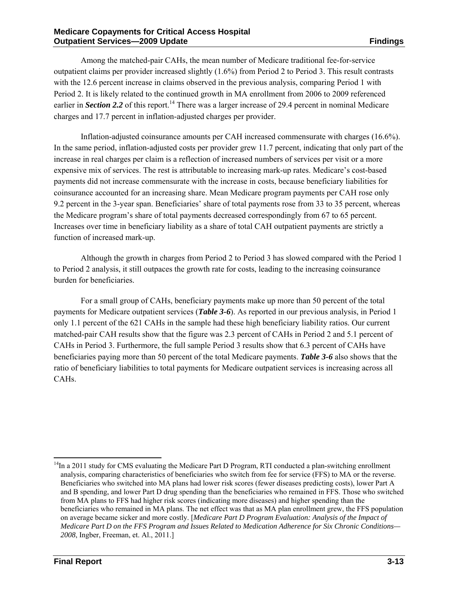Among the matched-pair CAHs, the mean number of Medicare traditional fee-for-service outpatient claims per provider increased slightly (1.6%) from Period 2 to Period 3. This result contrasts with the 12.6 percent increase in claims observed in the previous analysis, comparing Period 1 with Period 2. It is likely related to the continued growth in MA enrollment from 2006 to 2009 referenced earlier in *Section 2.2* of this report.<sup>14</sup> There was a larger increase of 29.4 percent in nominal Medicare charges and 17.7 percent in inflation-adjusted charges per provider.

Inflation-adjusted coinsurance amounts per CAH increased commensurate with charges (16.6%). In the same period, inflation-adjusted costs per provider grew 11.7 percent, indicating that only part of the increase in real charges per claim is a reflection of increased numbers of services per visit or a more expensive mix of services. The rest is attributable to increasing mark-up rates. Medicare's cost-based payments did not increase commensurate with the increase in costs, because beneficiary liabilities for coinsurance accounted for an increasing share. Mean Medicare program payments per CAH rose only 9.2 percent in the 3-year span. Beneficiaries' share of total payments rose from 33 to 35 percent, whereas the Medicare program's share of total payments decreased correspondingly from 67 to 65 percent. Increases over time in beneficiary liability as a share of total CAH outpatient payments are strictly a function of increased mark-up.

Although the growth in charges from Period 2 to Period 3 has slowed compared with the Period 1 to Period 2 analysis, it still outpaces the growth rate for costs, leading to the increasing coinsurance burden for beneficiaries.

For a small group of CAHs, beneficiary payments make up more than 50 percent of the total payments for Medicare outpatient services (*Table 3-6*). As reported in our previous analysis, in Period 1 only 1.1 percent of the 621 CAHs in the sample had these high beneficiary liability ratios. Our current matched-pair CAH results show that the figure was 2.3 percent of CAHs in Period 2 and 5.1 percent of CAHs in Period 3. Furthermore, the full sample Period 3 results show that 6.3 percent of CAHs have beneficiaries paying more than 50 percent of the total Medicare payments. *Table 3-6* also shows that the ratio of beneficiary liabilities to total payments for Medicare outpatient services is increasing across all CAHs.

l

 $14$ In a 2011 study for CMS evaluating the Medicare Part D Program, RTI conducted a plan-switching enrollment analysis, comparing characteristics of beneficiaries who switch from fee for service (FFS) to MA or the reverse. Beneficiaries who switched into MA plans had lower risk scores (fewer diseases predicting costs), lower Part A and B spending, and lower Part D drug spending than the beneficiaries who remained in FFS. Those who switched from MA plans to FFS had higher risk scores (indicating more diseases) and higher spending than the beneficiaries who remained in MA plans. The net effect was that as MA plan enrollment grew, the FFS population on average became sicker and more costly. [*Medicare Part D Program Evaluation: Analysis of the Impact of Medicare Part D on the FFS Program and Issues Related to Medication Adherence for Six Chronic Conditions— 2008*, Ingber, Freeman, et. Al., 2011.]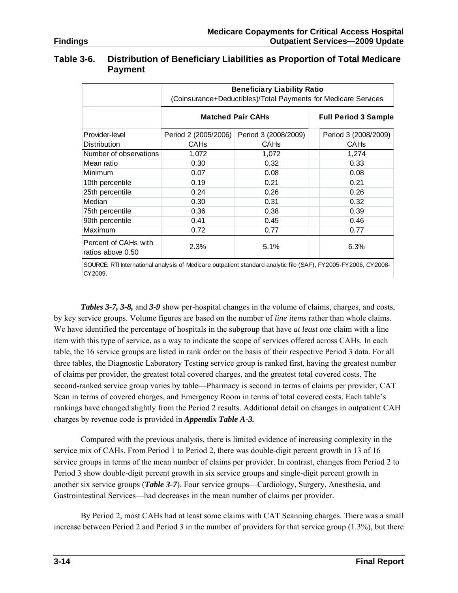#### **Table 3-6. Distribution of Beneficiary Liabilities as Proportion of Total Medicare Payment**

|                                           | <b>Beneficiary Liability Ratio</b><br>(Coinsurance+Deductibles)/Total Payments for Medicare Services |                             |                      |  |  |  |
|-------------------------------------------|------------------------------------------------------------------------------------------------------|-----------------------------|----------------------|--|--|--|
|                                           | <b>Matched Pair CAHs</b>                                                                             | <b>Full Period 3 Sample</b> |                      |  |  |  |
| Provider-level                            | Period 2 (2005/2006)                                                                                 | Period 3 (2008/2009)        | Period 3 (2008/2009) |  |  |  |
| <b>Distribution</b>                       | <b>CAHs</b>                                                                                          | CAH <sub>s</sub>            | <b>CAHs</b>          |  |  |  |
| Number of observations                    | 1,072                                                                                                | 1,072                       | 1,274                |  |  |  |
| Mean ratio                                | 0.30                                                                                                 | 0.32                        | 0.33                 |  |  |  |
| <b>Minimum</b>                            | 0.07                                                                                                 | 0.08                        | 0.08                 |  |  |  |
| 10th percentile                           | 0.19                                                                                                 | 0.21                        | 0.21                 |  |  |  |
| 25th percentile                           | 0.24                                                                                                 | 0.26                        | 0.26                 |  |  |  |
| Median                                    | 0.30                                                                                                 | 0.31                        | 0.32                 |  |  |  |
| 75th percentile                           | 0.36                                                                                                 | 0.38                        | 0.39                 |  |  |  |
| 90th percentile                           | 0.41                                                                                                 | 0.45                        | 0.46                 |  |  |  |
| Maximum                                   | 0.72                                                                                                 | 0.77                        | 0.77                 |  |  |  |
| Percent of CAHs with<br>ratios above 0.50 | 2.3%                                                                                                 | 5.1%                        | 6.3%                 |  |  |  |

SOURCE: RTI International analysis of Medicare outpatient standard analytic file (SAF), FY2005-FY2006, CY2008- CY2009.

*Tables 3-7, 3-8,* and *3-9* show per-hospital changes in the volume of claims, charges, and costs, by key service groups. Volume figures are based on the number of *line items* rather than whole claims. We have identified the percentage of hospitals in the subgroup that have *at least one* claim with a line item with this type of service, as a way to indicate the scope of services offered across CAHs. In each table, the 16 service groups are listed in rank order on the basis of their respective Period 3 data. For all three tables, the Diagnostic Laboratory Testing service group is ranked first, having the greatest number of claims per provider, the greatest total covered charges, and the greatest total covered costs. The second-ranked service group varies by table—Pharmacy is second in terms of claims per provider, CAT Scan in terms of covered charges, and Emergency Room in terms of total covered costs. Each table's rankings have changed slightly from the Period 2 results. Additional detail on changes in outpatient CAH charges by revenue code is provided in *Appendix Table A-3.* 

Compared with the previous analysis, there is limited evidence of increasing complexity in the service mix of CAHs. From Period 1 to Period 2, there was double-digit percent growth in 13 of 16 service groups in terms of the mean number of claims per provider. In contrast, changes from Period 2 to Period 3 show double-digit percent growth in six service groups and single-digit percent growth in another six service groups (*Table 3-7*). Four service groups—Cardiology, Surgery, Anesthesia, and Gastrointestinal Services—had decreases in the mean number of claims per provider.

By Period 2, most CAHs had at least some claims with CAT Scanning charges. There was a small increase between Period 2 and Period 3 in the number of providers for that service group (1.3%), but there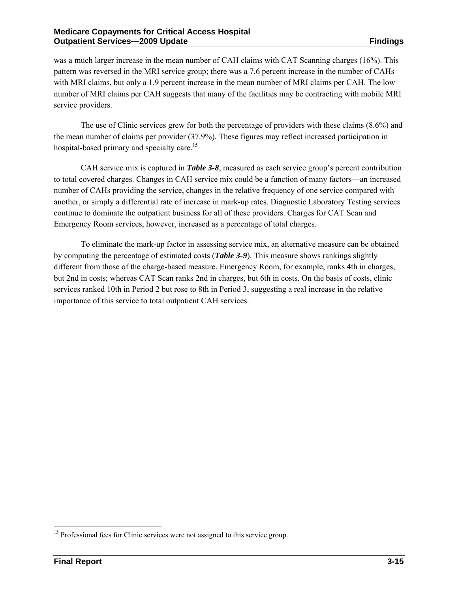was a much larger increase in the mean number of CAH claims with CAT Scanning charges (16%). This pattern was reversed in the MRI service group; there was a 7.6 percent increase in the number of CAHs with MRI claims, but only a 1.9 percent increase in the mean number of MRI claims per CAH. The low number of MRI claims per CAH suggests that many of the facilities may be contracting with mobile MRI service providers.

The use of Clinic services grew for both the percentage of providers with these claims (8.6%) and the mean number of claims per provider (37.9%). These figures may reflect increased participation in hospital-based primary and specialty care.<sup>15</sup>

CAH service mix is captured in *Table 3-8*, measured as each service group's percent contribution to total covered charges. Changes in CAH service mix could be a function of many factors—an increased number of CAHs providing the service, changes in the relative frequency of one service compared with another, or simply a differential rate of increase in mark-up rates. Diagnostic Laboratory Testing services continue to dominate the outpatient business for all of these providers. Charges for CAT Scan and Emergency Room services, however, increased as a percentage of total charges.

To eliminate the mark-up factor in assessing service mix, an alternative measure can be obtained by computing the percentage of estimated costs (*Table 3-9*). This measure shows rankings slightly different from those of the charge-based measure. Emergency Room, for example, ranks 4th in charges, but 2nd in costs; whereas CAT Scan ranks 2nd in charges, but 6th in costs. On the basis of costs, clinic services ranked 10th in Period 2 but rose to 8th in Period 3, suggesting a real increase in the relative importance of this service to total outpatient CAH services.

l <sup>15</sup> Professional fees for Clinic services were not assigned to this service group.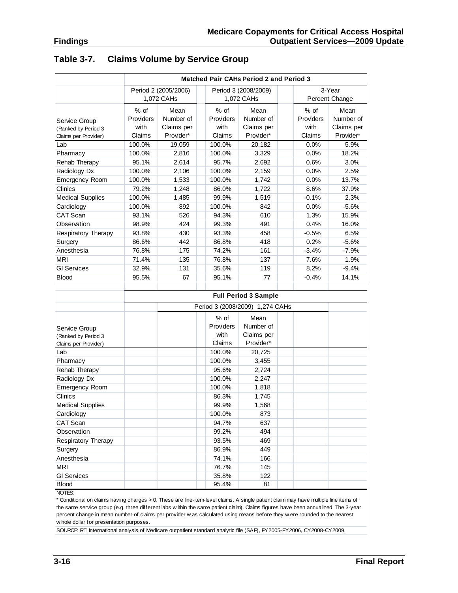|                         | Matched Pair CAHs Period 2 and Period 3 |                      |           |                                 |           |                |  |  |  |  |
|-------------------------|-----------------------------------------|----------------------|-----------|---------------------------------|-----------|----------------|--|--|--|--|
|                         |                                         | Period 2 (2005/2006) |           | Period 3 (2008/2009)            |           | 3-Year         |  |  |  |  |
|                         |                                         | 1,072 CAHs           |           | 1,072 CAHs                      |           | Percent Change |  |  |  |  |
|                         | % of                                    | Mean                 | % of      | Mean                            | % of      | Mean           |  |  |  |  |
| Service Group           | Providers                               | Number of            | Providers | Number of                       | Providers | Number of      |  |  |  |  |
| (Ranked by Period 3     | with                                    | Claims per           | with      | Claims per                      | with      | Claims per     |  |  |  |  |
| Claims per Provider)    | Claims                                  | Provider*            | Claims    | Provider*                       | Claims    | Provider*      |  |  |  |  |
| Lab                     | 100.0%                                  | 19,059               | 100.0%    | 20,182                          | 0.0%      | 5.9%           |  |  |  |  |
| Pharmacy                | 100.0%                                  | 2,816                | 100.0%    | 3,329                           | 0.0%      | 18.2%          |  |  |  |  |
| Rehab Therapy           | 95.1%                                   | 2,614                | 95.7%     | 2,692                           | 0.6%      | 3.0%           |  |  |  |  |
| Radiology Dx            | 100.0%                                  | 2,106                | 100.0%    | 2,159                           | 0.0%      | 2.5%           |  |  |  |  |
| <b>Emergency Room</b>   | 100.0%                                  | 1,533                | 100.0%    | 1,742                           | 0.0%      | 13.7%          |  |  |  |  |
| Clinics                 | 79.2%                                   | 1,248                | 86.0%     | 1,722                           | 8.6%      | 37.9%          |  |  |  |  |
| <b>Medical Supplies</b> | 100.0%                                  | 1,485                | 99.9%     | 1,519                           | $-0.1%$   | 2.3%           |  |  |  |  |
| Cardiology              | 100.0%                                  | 892                  | 100.0%    | 842                             | 0.0%      | $-5.6%$        |  |  |  |  |
| CAT Scan                | 93.1%                                   | 526                  | 94.3%     | 610                             | 1.3%      | 15.9%          |  |  |  |  |
| Observation             | 98.9%                                   | 424                  | 99.3%     | 491                             | 0.4%      | 16.0%          |  |  |  |  |
| Respiratory Therapy     | 93.8%                                   | 430                  | 93.3%     | 458                             | $-0.5%$   | 6.5%           |  |  |  |  |
| Surgery                 | 86.6%                                   | 442                  | 86.8%     | 418                             | 0.2%      | $-5.6%$        |  |  |  |  |
| Anesthesia              | 76.8%                                   | 175                  | 74.2%     | 161                             | $-3.4%$   | $-7.9%$        |  |  |  |  |
| <b>MRI</b>              | 71.4%                                   | 135                  | 76.8%     | 137                             | 7.6%      | 1.9%           |  |  |  |  |
| <b>GI Services</b>      | 32.9%                                   | 131                  | 35.6%     | 119                             | 8.2%      | $-9.4%$        |  |  |  |  |
| <b>Blood</b>            | 95.5%                                   | 67                   | 95.1%     | 77                              | $-0.4%$   | 14.1%          |  |  |  |  |
|                         |                                         |                      |           |                                 |           |                |  |  |  |  |
|                         |                                         |                      |           | <b>Full Period 3 Sample</b>     |           |                |  |  |  |  |
|                         |                                         |                      |           | Period 3 (2008/2009) 1,274 CAHs |           |                |  |  |  |  |
|                         |                                         |                      | $%$ of    | Mean                            |           |                |  |  |  |  |
| Service Group           |                                         |                      | Providers | Number of                       |           |                |  |  |  |  |
| (Ranked by Period 3     |                                         |                      | with      | Claims per                      |           |                |  |  |  |  |
| Claims per Provider)    |                                         |                      | Claims    | Provider*                       |           |                |  |  |  |  |
| Lab                     |                                         |                      | 100.0%    | 20,725                          |           |                |  |  |  |  |
| Pharmacy                |                                         |                      | 100.0%    | 3,455                           |           |                |  |  |  |  |
| Rehab Therapy           |                                         |                      | 95.6%     | 2,724                           |           |                |  |  |  |  |
| Radiology Dx            |                                         |                      | 100.0%    | 2,247                           |           |                |  |  |  |  |
| Emergency Room          |                                         |                      | 100.0%    | 1,818                           |           |                |  |  |  |  |
| Clinics                 |                                         |                      | 86.3%     | 1,745                           |           |                |  |  |  |  |
| <b>Medical Supplies</b> |                                         |                      | 99.9%     | 1,568                           |           |                |  |  |  |  |
| Cardiology              |                                         |                      | 100.0%    | 873                             |           |                |  |  |  |  |
| CAT Scan                |                                         |                      | 94.7%     | 637                             |           |                |  |  |  |  |
| Observation             |                                         |                      | 99.2%     | 494                             |           |                |  |  |  |  |
| Respiratory Therapy     |                                         |                      | 93.5%     | 469                             |           |                |  |  |  |  |
| Surgery                 |                                         |                      | 86.9%     | 449                             |           |                |  |  |  |  |
| Anesthesia              |                                         |                      | 74.1%     | 166                             |           |                |  |  |  |  |
| <b>MRI</b>              |                                         |                      | 76.7%     | 145                             |           |                |  |  |  |  |
| <b>GI Services</b>      |                                         |                      | 35.8%     | 122                             |           |                |  |  |  |  |
| <b>Blood</b>            |                                         |                      | 95.4%     | 81                              |           |                |  |  |  |  |
| NOTES:                  |                                         |                      |           |                                 |           |                |  |  |  |  |

#### **Table 3-7. Claims Volume by Service Group**

\* Conditional on claims having charges > 0. These are line-item-level claims. A single patient claim may have multiple line items of the same service group (e.g. three different labs w ithin the same patient claim). Claims figures have been annualized. The 3-year percent change in mean number of claims per provider w as calculated using means before they w ere rounded to the nearest w hole dollar for presentation purposes.

SOURCE: RTI International analysis of Medicare outpatient standard analytic file (SAF), FY2005-FY2006, CY2008-CY2009.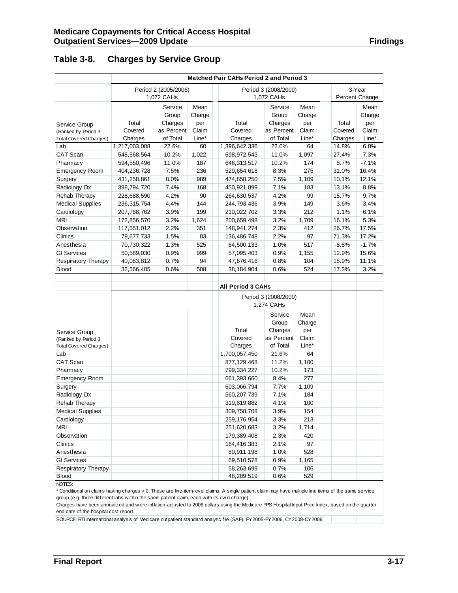|  | <b>Findings</b> |  |  |
|--|-----------------|--|--|
|  |                 |  |  |

#### **Table 3-8. Charges by Service Group**

|                                                      |               | <b>Matched Pair CAHs Period 2 and Period 3</b> |        |                          |                       |              |         |                |  |  |  |
|------------------------------------------------------|---------------|------------------------------------------------|--------|--------------------------|-----------------------|--------------|---------|----------------|--|--|--|
|                                                      |               | Period 2 (2005/2006)                           |        | Period 3 (2008/2009)     |                       | 3-Year       |         |                |  |  |  |
|                                                      |               | 1,072 CAHs                                     |        |                          | 1,072 CAHs            |              |         | Percent Change |  |  |  |
|                                                      |               | Service                                        | Mean   |                          | Service               | Mean         |         | Mean           |  |  |  |
|                                                      |               | Group                                          | Charge |                          | Group                 | Charge       |         | Charge         |  |  |  |
| Service Group                                        | Total         | Charges                                        | per    | Total                    | Charges               | per          | Total   | per            |  |  |  |
| (Ranked by Period 3                                  | Covered       | as Percent                                     | Claim  | Covered                  | as Percent            | Claim        | Covered | Claim          |  |  |  |
| <b>Total Covered Charges)</b>                        | Charges       | of Total                                       | Line*  | Charges                  | of Total              | Line*        | Charges | Line*          |  |  |  |
| Lab                                                  | 1,217,003,008 | 22.6%                                          | 60     | 1,396,642,336            | 22.0%                 | 64           | 14.8%   | 6.8%           |  |  |  |
| <b>CAT Scan</b>                                      | 548,568,564   | 10.2%                                          | 1,022  | 698,972,543              | 11.0%                 | 1,097        | 27.4%   | 7.3%           |  |  |  |
| Pharmacy                                             | 594,550,496   | 11.0%                                          | 187    | 646,313,517              | 10.2%                 | 174          | 8.7%    | $-7.1%$        |  |  |  |
| <b>Emergency Room</b>                                | 404,236,728   | 7.5%                                           | 236    | 529,654,618              | 8.3%                  | 275          | 31.0%   | 16.4%          |  |  |  |
| Surgery                                              | 431,258,861   | 8.0%                                           | 989    | 474,858,250              | 7.5%                  | 1,109        | 10.1%   | 12.1%          |  |  |  |
| Radiology Dx                                         | 398,794,720   | 7.4%                                           | 168    | 450,921,899              | 7.1%                  | 183          | 13.1%   | 8.8%           |  |  |  |
| Rehab Therapy                                        | 228,688,590   | 4.2%                                           | 90     | 264,630,537              | 4.2%                  | 99           | 15.7%   | 9.7%           |  |  |  |
| <b>Medical Supplies</b>                              | 236, 315, 754 | 4.4%                                           | 144    | 244,793,436              | 3.9%                  | 149          | 3.6%    | 3.4%           |  |  |  |
| Cardiology                                           | 207,788,762   | 3.9%                                           | 199    | 210,022,702              | 3.3%                  | 212          | 1.1%    | 6.1%           |  |  |  |
| <b>MRI</b>                                           | 172,856,570   | 3.2%                                           | 1,624  | 200,659,498              | 3.2%                  | 1,709        | 16.1%   | 5.3%           |  |  |  |
| Observation                                          | 117,551,012   | 2.2%                                           | 351    | 148,941,274              | 2.3%                  | 412          | 26.7%   | 17.5%          |  |  |  |
| Clinics                                              | 79,677,733    | 1.5%                                           | 83     | 136,486,748              | 2.2%                  | 97           | 71.3%   | 17.2%          |  |  |  |
| Anesthesia                                           | 70,730,322    | 1.3%                                           | 525    | 64,500,133               | 1.0%                  | 517          | $-8.8%$ | $-1.7%$        |  |  |  |
| <b>GI Services</b>                                   | 50,589,030    | 0.9%                                           | 999    | 57,095,403               | 0.9%                  | 1,155        | 12.9%   | 15.6%          |  |  |  |
| Respiratory Therapy                                  | 40,083,812    | 0.7%                                           | 94     | 47,676,416               | 0.8%                  | 104          | 18.9%   | 11.1%          |  |  |  |
| <b>Blood</b>                                         | 32,566,405    | 0.6%                                           | 508    | 38,184,904               | 0.6%                  | 524          | 17.3%   | 3.2%           |  |  |  |
|                                                      |               |                                                |        |                          |                       |              |         |                |  |  |  |
|                                                      |               |                                                |        | <b>All Period 3 CAHs</b> |                       |              |         |                |  |  |  |
|                                                      |               |                                                |        |                          | Period 3 (2008/2009)  |              |         |                |  |  |  |
|                                                      |               |                                                |        |                          | 1,274 CAHs            |              |         |                |  |  |  |
|                                                      |               |                                                |        |                          |                       |              |         |                |  |  |  |
|                                                      |               |                                                |        |                          | Service               | Mean         |         |                |  |  |  |
|                                                      |               |                                                |        | Total                    | Group                 | Charge       |         |                |  |  |  |
| Service Group                                        |               |                                                |        | Covered                  | Charges<br>as Percent | per<br>Claim |         |                |  |  |  |
| (Ranked by Period 3<br><b>Total Covered Charges)</b> |               |                                                |        | Charges                  | of Total              | Line*        |         |                |  |  |  |
| Lab                                                  |               |                                                |        | 1,700,057,450            | 21.6%                 | 64           |         |                |  |  |  |
| <b>CAT Scan</b>                                      |               |                                                |        | 877,129,468              | 11.2%                 | 1,100        |         |                |  |  |  |
| Pharmacy                                             |               |                                                |        | 799,334,227              | 10.2%                 | 173          |         |                |  |  |  |
| <b>Emergency Room</b>                                |               |                                                |        | 661,393,660              | 8.4%                  | 277          |         |                |  |  |  |
| Surgery                                              |               |                                                |        | 603,066,794              | 7.7%                  | 1,109        |         |                |  |  |  |
| Radiology Dx                                         |               |                                                |        | 560,207,739              | 7.1%                  | 184          |         |                |  |  |  |
| Rehab Therapy                                        |               |                                                |        | 319,819,882              | 4.1%                  | 100          |         |                |  |  |  |
| <b>Medical Supplies</b>                              |               |                                                |        | 309,758,708              | 3.9%                  | 154          |         |                |  |  |  |
| Cardiology                                           |               |                                                |        |                          | 3.3%                  | 213          |         |                |  |  |  |
| MRI                                                  |               |                                                |        | 259,176,954              |                       | 1,714        |         |                |  |  |  |
| Observation                                          |               |                                                |        | 251,620,683              | 3.2%                  | 420          |         |                |  |  |  |
| Clinics                                              |               |                                                |        | 179,389,408              | 2.3%                  |              |         |                |  |  |  |
|                                                      |               |                                                |        | 164,416,383              | 2.1%                  | 97           |         |                |  |  |  |
| Anesthesia                                           |               |                                                |        | 80,911,198               | 1.0%                  | 528          |         |                |  |  |  |
| <b>GI Services</b>                                   |               |                                                |        | 69,510,578               | 0.9%                  | 1,165        |         |                |  |  |  |
| <b>Respiratory Therapy</b>                           |               |                                                |        | 58,263,699               | 0.7%                  | 106          |         |                |  |  |  |
| <b>Blood</b>                                         |               |                                                |        | 48,289,519               | 0.6%                  | 529          |         |                |  |  |  |

NOTES:

\* Conditional on claims having charges > 0. These are line-item-level claims. A single patient claim may have multiple line items of the same service group (e.g. three different labs w ithin the same patient claim, each w ith its ow n charge).

Charges have been annualized and w ere inflation-adjusted to 2006 dollars using the Medicare PPS Hospital Input Price Index, based on the quarter end date of the hospital cost report.

SOURCE: RTI International analysis of Medicare outpatient standard analytic file (SAF), FY2005-FY2006, CY2008-CY2009.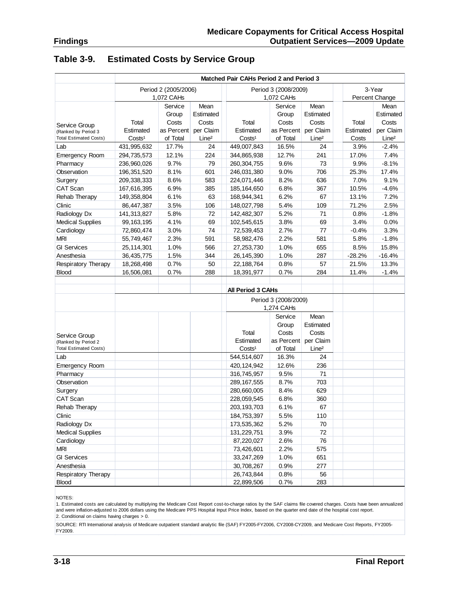| Table 3-9. | <b>Estimated Costs by Service Group</b> |  |  |  |
|------------|-----------------------------------------|--|--|--|
|------------|-----------------------------------------|--|--|--|

|                               | <b>Matched Pair CAHs Period 2 and Period 3</b> |                      |                   |                    |                      |                   |           |                   |  |  |
|-------------------------------|------------------------------------------------|----------------------|-------------------|--------------------|----------------------|-------------------|-----------|-------------------|--|--|
|                               |                                                | Period 2 (2005/2006) |                   |                    | Period 3 (2008/2009) |                   | 3-Year    |                   |  |  |
|                               |                                                | 1,072 CAHs           |                   |                    | 1,072 CAHs           |                   |           | Percent Change    |  |  |
|                               |                                                | Service              | Mean              |                    | Service              | Mean              |           | Mean              |  |  |
|                               |                                                | Group                | Estimated         |                    | Group                | Estimated         |           | Estimated         |  |  |
| Service Group                 | Total                                          | Costs                | Costs             | Total              | Costs                | Costs             | Total     | Costs             |  |  |
| (Ranked by Period 3           | Estimated                                      | as Percent           | per Claim         | Estimated          | as Percent           | per Claim         | Estimated | per Claim         |  |  |
| <b>Total Estimated Costs)</b> | Costs <sup>1</sup>                             | of Total             | Line <sup>2</sup> | Costs <sup>1</sup> | of Total             | Line <sup>2</sup> | Costs     | Line <sup>2</sup> |  |  |
| Lab                           | 431,995,632                                    | 17.7%                | 24                | 449,007,843        | 16.5%                | 24                | 3.9%      | $-2.4%$           |  |  |
| Emergency Room                | 294,735,573                                    | 12.1%                | 224               | 344,865,938        | 12.7%                | 241               | 17.0%     | 7.4%              |  |  |
| Pharmacy                      | 236,960,026                                    | 9.7%                 | 79                | 260,304,755        | 9.6%                 | 73                | 9.9%      | $-8.1%$           |  |  |
| Observation                   | 196,351,520                                    | 8.1%                 | 601               | 246,031,380        | 9.0%                 | 706               | 25.3%     | 17.4%             |  |  |
| Surgery                       | 209,338,333                                    | 8.6%                 | 583               | 224,071,446        | 8.2%                 | 636               | 7.0%      | 9.1%              |  |  |
| CAT Scan                      | 167,616,395                                    | 6.9%                 | 385               | 185, 164, 650      | 6.8%                 | 367               | 10.5%     | $-4.6%$           |  |  |
| Rehab Therapy                 | 149,358,804                                    | 6.1%                 | 63                | 168,944,341        | 6.2%                 | 67                | 13.1%     | 7.2%              |  |  |
| Clinic                        | 86,447,387                                     | 3.5%                 | 106               | 148,027,798        | 5.4%                 | 109               | 71.2%     | 2.5%              |  |  |
| Radiology Dx                  | 141,313,827                                    | 5.8%                 | 72                | 142,482,307        | 5.2%                 | 71                | 0.8%      | $-1.8%$           |  |  |
| <b>Medical Supplies</b>       | 99, 163, 195                                   | 4.1%                 | 69                | 102,545,615        | 3.8%                 | 69                | 3.4%      | 0.0%              |  |  |
| Cardiology                    | 72,860,474                                     | 3.0%                 | 74                | 72,539,453         | 2.7%                 | 77                | $-0.4%$   | 3.3%              |  |  |
| <b>MRI</b>                    | 55,749,467                                     | 2.3%                 | 591               | 58,982,476         | 2.2%                 | 581               | 5.8%      | $-1.8%$           |  |  |
| <b>GI</b> Services            | 25,114,301                                     | 1.0%                 | 566               | 27,253,730         | 1.0%                 | 655               | 8.5%      | 15.8%             |  |  |
| Anesthesia                    | 36,435,775                                     | 1.5%                 | 344               | 26, 145, 390       | 1.0%                 | 287               | $-28.2%$  | $-16.4%$          |  |  |
| <b>Respiratory Therapy</b>    | 18,268,498                                     | 0.7%                 | 50                | 22,188,764         | 0.8%                 | 57                | 21.5%     | 13.3%             |  |  |
| <b>Blood</b>                  | 16,506,081                                     | 0.7%                 | 288               | 18,391,977         | 0.7%                 | 284               | 11.4%     | $-1.4%$           |  |  |
|                               |                                                |                      |                   |                    |                      |                   |           |                   |  |  |
|                               |                                                |                      |                   | All Period 3 CAHs  |                      |                   |           |                   |  |  |
|                               |                                                |                      |                   |                    | Period 3 (2008/2009) |                   |           |                   |  |  |
|                               |                                                |                      |                   |                    | 1,274 CAHs           |                   |           |                   |  |  |
|                               |                                                |                      |                   |                    | Service              | Mean              |           |                   |  |  |
|                               |                                                |                      |                   |                    | Group                | Estimated         |           |                   |  |  |
| Service Group                 |                                                |                      |                   | Total              | Costs                | Costs             |           |                   |  |  |
| (Ranked by Period 2           |                                                |                      |                   | Estimated          | as Percent           | per Claim         |           |                   |  |  |
| <b>Total Estimated Costs)</b> |                                                |                      |                   | Costs <sup>1</sup> | of Total             | Line <sup>2</sup> |           |                   |  |  |
| Lab                           |                                                |                      |                   | 544,514,607        | 16.3%                | 24                |           |                   |  |  |
| Emergency Room                |                                                |                      |                   | 420, 124, 942      | 12.6%                | 236               |           |                   |  |  |
| Pharmacy                      |                                                |                      |                   | 316,745,957        | 9.5%                 | 71                |           |                   |  |  |
| Observation                   |                                                |                      |                   | 289, 167, 555      | 8.7%                 | 703               |           |                   |  |  |
| Surgery                       |                                                |                      |                   | 280,660,005        | 8.4%                 | 629               |           |                   |  |  |
| CAT Scan                      |                                                |                      |                   | 228,059,545        | 6.8%                 | 360               |           |                   |  |  |
| Rehab Therapy                 |                                                |                      |                   | 203, 193, 703      | 6.1%                 | 67                |           |                   |  |  |
| Clinic                        |                                                |                      |                   | 184,753,397        | 5.5%                 | 110               |           |                   |  |  |
| Radiology Dx                  |                                                |                      |                   | 173,535,362        | 5.2%                 | 70                |           |                   |  |  |
| <b>Medical Supplies</b>       |                                                |                      |                   | 131,229,751        | 3.9%                 | 72                |           |                   |  |  |
| Cardiology                    |                                                |                      |                   | 87,220,027         | 2.6%                 | 76                |           |                   |  |  |
| <b>MRI</b>                    |                                                |                      |                   | 73,426,601         | 2.2%                 | 575               |           |                   |  |  |
| <b>GI Services</b>            |                                                |                      |                   | 33,247,269         | 1.0%                 | 651               |           |                   |  |  |
| Anesthesia                    |                                                |                      |                   | 30,708,267         | 0.9%                 | 277               |           |                   |  |  |
| <b>Respiratory Therapy</b>    |                                                |                      |                   | 26,743,844         | 0.8%                 | 56                |           |                   |  |  |
| Blood                         |                                                |                      |                   | 22,899,506         | 0.7%                 | 283               |           |                   |  |  |

NOTES:

1. Estimated costs are calculated by multiplying the Medicare Cost Report cost-to-charge ratios by the SAF claims file covered charges. Costs have been annualized and were inflation-adjusted to 2006 dollars using the Medicare PPS Hospital Input Price Index, based on the quarter end date of the hospital cost report. 2. Conditional on claims having charges > 0.

SOURCE: RTI International analysis of Medicare outpatient standard analytic file (SAF) FY2005-FY2006, CY2008-CY2009, and Medicare Cost Reports, FY2005- **FY2009.**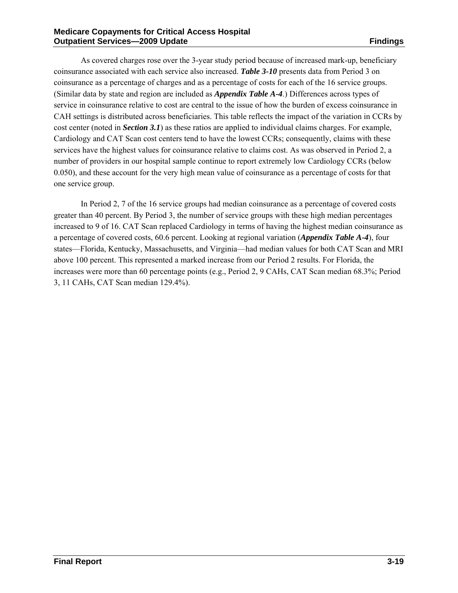As covered charges rose over the 3-year study period because of increased mark-up, beneficiary coinsurance associated with each service also increased. *Table 3-10* presents data from Period 3 on coinsurance as a percentage of charges and as a percentage of costs for each of the 16 service groups. (Similar data by state and region are included as *Appendix Table A-4*.) Differences across types of service in coinsurance relative to cost are central to the issue of how the burden of excess coinsurance in CAH settings is distributed across beneficiaries. This table reflects the impact of the variation in CCRs by cost center (noted in *Section 3.1*) as these ratios are applied to individual claims charges. For example, Cardiology and CAT Scan cost centers tend to have the lowest CCRs; consequently, claims with these services have the highest values for coinsurance relative to claims cost. As was observed in Period 2, a number of providers in our hospital sample continue to report extremely low Cardiology CCRs (below 0.050), and these account for the very high mean value of coinsurance as a percentage of costs for that one service group.

In Period 2, 7 of the 16 service groups had median coinsurance as a percentage of covered costs greater than 40 percent. By Period 3, the number of service groups with these high median percentages increased to 9 of 16. CAT Scan replaced Cardiology in terms of having the highest median coinsurance as a percentage of covered costs, 60.6 percent. Looking at regional variation (*Appendix Table A-4*), four states—Florida, Kentucky, Massachusetts, and Virginia—had median values for both CAT Scan and MRI above 100 percent. This represented a marked increase from our Period 2 results. For Florida, the increases were more than 60 percentage points (e.g., Period 2, 9 CAHs, CAT Scan median 68.3%; Period 3, 11 CAHs, CAT Scan median 129.4%).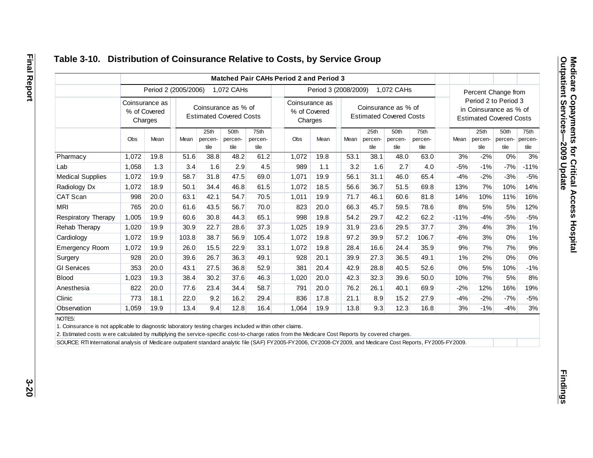|                         |                                           |                      |       |                                                       |                         | Matched Pair CAHs Period 2 and Period 3   |       |                                                       |      |                         |                         |                         |                      |                                                          |                         |                         |
|-------------------------|-------------------------------------------|----------------------|-------|-------------------------------------------------------|-------------------------|-------------------------------------------|-------|-------------------------------------------------------|------|-------------------------|-------------------------|-------------------------|----------------------|----------------------------------------------------------|-------------------------|-------------------------|
|                         |                                           | Period 2 (2005/2006) |       |                                                       | 1,072 CAHs              |                                           |       | Period 3 (2008/2009)                                  |      |                         | 1,072 CAHs              |                         |                      | Percent Change from                                      |                         |                         |
|                         | Coinsurance as<br>% of Covered<br>Charges |                      |       | Coinsurance as % of<br><b>Estimated Covered Costs</b> |                         | Coinsurance as<br>% of Covered<br>Charges |       | Coinsurance as % of<br><b>Estimated Covered Costs</b> |      |                         |                         |                         | Period 2 to Period 3 | in Coinsurance as % of<br><b>Estimated Covered Costs</b> |                         |                         |
|                         | Obs                                       | Mean                 | Mean  | 25th<br>percen-<br>tile                               | 50th<br>percen-<br>tile | 75th<br>percen-<br>tile                   | Obs   | Mean                                                  | Mean | 25th<br>percen-<br>tile | 50th<br>percen-<br>tile | 75th<br>percen-<br>tile | Mean                 | 25th<br>percen-<br>tile                                  | 50th<br>percen-<br>tile | 75th<br>percen-<br>tile |
| Pharmacy                | 1,072                                     | 19.8                 | 51.6  | 38.8                                                  | 48.2                    | 61.2                                      | 1,072 | 19.8                                                  | 53.1 | 38.1                    | 48.0                    | 63.0                    | 3%                   | $-2%$                                                    | 0%                      | 3%                      |
| Lab                     | 1,058                                     | 1.3                  | 3.4   | 1.6                                                   | 2.9                     | 4.5                                       | 989   | 1.1                                                   | 3.2  | 1.6                     | 2.7                     | 4.0                     | $-5%$                | $-1%$                                                    | $-7%$                   | $-11%$                  |
| <b>Medical Supplies</b> | 1,072                                     | 19.9                 | 58.7  | 31.8                                                  | 47.5                    | 69.0                                      | 1,071 | 19.9                                                  | 56.1 | 31.1                    | 46.0                    | 65.4                    | $-4%$                | $-2%$                                                    | $-3%$                   | $-5%$                   |
| Radiology Dx            | 1,072                                     | 18.9                 | 50.1  | 34.4                                                  | 46.8                    | 61.5                                      | 1,072 | 18.5                                                  | 56.6 | 36.7                    | 51.5                    | 69.8                    | 13%                  | 7%                                                       | 10%                     | 14%                     |
| CAT Scan                | 998                                       | 20.0                 | 63.1  | 42.1                                                  | 54.7                    | 70.5                                      | 1,011 | 19.9                                                  | 71.7 | 46.1                    | 60.6                    | 81.8                    | 14%                  | 10%                                                      | 11%                     | 16%                     |
| <b>MRI</b>              | 765                                       | 20.0                 | 61.6  | 43.5                                                  | 56.7                    | 70.0                                      | 823   | 20.0                                                  | 66.3 | 45.7                    | 59.5                    | 78.6                    | 8%                   | 5%                                                       | 5%                      | 12%                     |
| Respiratory Therapy     | 1,005                                     | 19.9                 | 60.6  | 30.8                                                  | 44.3                    | 65.1                                      | 998   | 19.8                                                  | 54.2 | 29.7                    | 42.2                    | 62.2                    | $-11%$               | $-4%$                                                    | $-5%$                   | $-5%$                   |
| Rehab Therapy           | 1,020                                     | 19.9                 | 30.9  | 22.7                                                  | 28.6                    | 37.3                                      | 1,025 | 19.9                                                  | 31.9 | 23.6                    | 29.5                    | 37.7                    | 3%                   | 4%                                                       | 3%                      | 1%                      |
| Cardiology              | 1,072                                     | 19.9                 | 103.8 | 38.7                                                  | 56.9                    | 105.4                                     | 1,072 | 19.8                                                  | 97.2 | 39.9                    | 57.2                    | 106.7                   | $-6%$                | 3%                                                       | $0\%$                   | 1%                      |
| <b>Emergency Room</b>   | 1,072                                     | 19.9                 | 26.0  | 15.5                                                  | 22.9                    | 33.1                                      | 1,072 | 19.8                                                  | 28.4 | 16.6                    | 24.4                    | 35.9                    | 9%                   | 7%                                                       | 7%                      | $9\%$                   |
| Surgery                 | 928                                       | 20.0                 | 39.6  | 26.7                                                  | 36.3                    | 49.1                                      | 928   | 20.1                                                  | 39.9 | 27.3                    | 36.5                    | 49.1                    | 1%                   | 2%                                                       | 0%                      | 0%                      |
| <b>GI Services</b>      | 353                                       | 20.0                 | 43.1  | 27.5                                                  | 36.8                    | 52.9                                      | 381   | 20.4                                                  | 42.9 | 28.8                    | 40.5                    | 52.6                    | $0\%$                | 5%                                                       | 10%                     | $-1%$                   |
| <b>Blood</b>            | 1,023                                     | 19.3                 | 38.4  | 30.2                                                  | 37.6                    | 46.3                                      | 1,020 | 20.0                                                  | 42.3 | 32.3                    | 39.6                    | 50.0                    | 10%                  | 7%                                                       | 5%                      | 8%                      |
| Anesthesia              | 822                                       | 20.0                 | 77.6  | 23.4                                                  | 34.4                    | 58.7                                      | 791   | 20.0                                                  | 76.2 | 26.1                    | 40.1                    | 69.9                    | $-2%$                | 12%                                                      | 16%                     | 19%                     |
| Clinic                  | 773                                       | 18.1                 | 22.0  | 9.2                                                   | 16.2                    | 29.4                                      | 836   | 17.8                                                  | 21.1 | 8.9                     | 15.2                    | 27.9                    | $-4%$                | $-2%$                                                    | $-7%$                   | $-5%$                   |
| Observation             | 1,059                                     | 19.9                 | 13.4  | 9.4                                                   | 12.8                    | 16.4                                      | 1,064 | 19.9                                                  | 13.8 | 9.3                     | 12.3                    | 16.8                    | 3%                   | $-1%$                                                    | $-4%$                   | $3%$                    |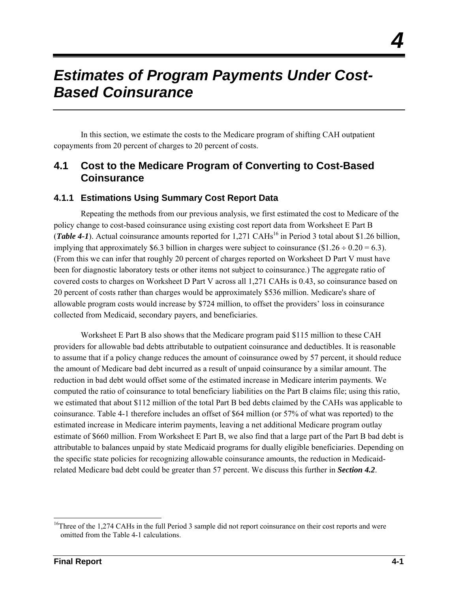## *Estimates of Program Payments Under Cost-Based Coinsurance*

In this section, we estimate the costs to the Medicare program of shifting CAH outpatient copayments from 20 percent of charges to 20 percent of costs.

#### **4.1 Cost to the Medicare Program of Converting to Cost-Based Coinsurance**

#### **4.1.1 Estimations Using Summary Cost Report Data**

Repeating the methods from our previous analysis, we first estimated the cost to Medicare of the policy change to cost-based coinsurance using existing cost report data from Worksheet E Part B (*Table* 4-1). Actual coinsurance amounts reported for 1,271 CAHs<sup>16</sup> in Period 3 total about \$1.26 billion, implying that approximately \$6.3 billion in charges were subject to coinsurance (\$1.26  $\div$  0.20 = 6.3). (From this we can infer that roughly 20 percent of charges reported on Worksheet D Part V must have been for diagnostic laboratory tests or other items not subject to coinsurance.) The aggregate ratio of covered costs to charges on Worksheet D Part V across all 1,271 CAHs is 0.43, so coinsurance based on 20 percent of costs rather than charges would be approximately \$536 million. Medicare's share of allowable program costs would increase by \$724 million, to offset the providers' loss in coinsurance collected from Medicaid, secondary payers, and beneficiaries.

Worksheet E Part B also shows that the Medicare program paid \$115 million to these CAH providers for allowable bad debts attributable to outpatient coinsurance and deductibles. It is reasonable to assume that if a policy change reduces the amount of coinsurance owed by 57 percent, it should reduce the amount of Medicare bad debt incurred as a result of unpaid coinsurance by a similar amount. The reduction in bad debt would offset some of the estimated increase in Medicare interim payments. We computed the ratio of coinsurance to total beneficiary liabilities on the Part B claims file; using this ratio, we estimated that about \$112 million of the total Part B bed debts claimed by the CAHs was applicable to coinsurance. Table 4-1 therefore includes an offset of \$64 million (or 57% of what was reported) to the estimated increase in Medicare interim payments, leaving a net additional Medicare program outlay estimate of \$660 million. From Worksheet E Part B, we also find that a large part of the Part B bad debt is attributable to balances unpaid by state Medicaid programs for dually eligible beneficiaries. Depending on the specific state policies for recognizing allowable coinsurance amounts, the reduction in Medicaidrelated Medicare bad debt could be greater than 57 percent. We discuss this further in *Section 4.2*.

1

*4* 

<sup>&</sup>lt;sup>16</sup>Three of the 1,274 CAHs in the full Period 3 sample did not report coinsurance on their cost reports and were omitted from the Table 4-1 calculations.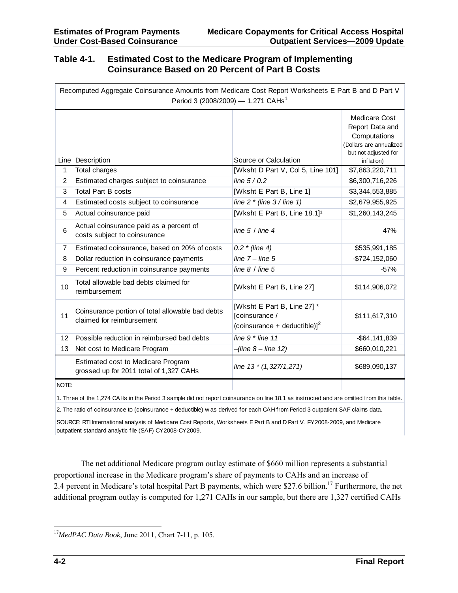#### **Table 4-1. Estimated Cost to the Medicare Program of Implementing Coinsurance Based on 20 Percent of Part B Costs**

|                | Recomputed Aggregate Coinsurance Amounts from Medicare Cost Report Worksheets E Part B and D Part V<br>Period 3 (2008/2009) - 1,271 CAHs <sup>1</sup>                                                                                                                     |                                                                                           |                                                                                                                          |
|----------------|---------------------------------------------------------------------------------------------------------------------------------------------------------------------------------------------------------------------------------------------------------------------------|-------------------------------------------------------------------------------------------|--------------------------------------------------------------------------------------------------------------------------|
|                | Line Description                                                                                                                                                                                                                                                          | Source or Calculation                                                                     | <b>Medicare Cost</b><br>Report Data and<br>Computations<br>(Dollars are annualized<br>but not adjusted for<br>inflation) |
| 1              | Total charges                                                                                                                                                                                                                                                             | [Wksht D Part V, Col 5, Line 101]                                                         | \$7,863,220,711                                                                                                          |
| $\overline{2}$ | Estimated charges subject to coinsurance                                                                                                                                                                                                                                  | line $5/0.2$                                                                              | \$6,300,716,226                                                                                                          |
| 3              | <b>Total Part B costs</b>                                                                                                                                                                                                                                                 | [Wksht E Part B, Line 1]                                                                  | \$3,344,553,885                                                                                                          |
| 4              | Estimated costs subject to coinsurance                                                                                                                                                                                                                                    | line $2 *$ (line $3 /$ line 1)                                                            | \$2,679,955,925                                                                                                          |
| 5              | Actual coinsurance paid                                                                                                                                                                                                                                                   | [Wksht E Part B, Line 18.1] <sup>1</sup>                                                  | \$1,260,143,245                                                                                                          |
| 6              | Actual coinsurance paid as a percent of<br>costs subject to coinsurance                                                                                                                                                                                                   | line $5/$ line $4$                                                                        | 47%                                                                                                                      |
| 7              | Estimated coinsurance, based on 20% of costs                                                                                                                                                                                                                              | $0.2$ * (line 4)                                                                          | \$535,991,185                                                                                                            |
| 8              | Dollar reduction in coinsurance payments                                                                                                                                                                                                                                  | line $7 -$ line $5$                                                                       | $-$724,152,060$                                                                                                          |
| 9              | Percent reduction in coinsurance payments                                                                                                                                                                                                                                 | line $8/$ line $5$                                                                        | $-57%$                                                                                                                   |
| 10             | Total allowable bad debts claimed for<br>reimbursement                                                                                                                                                                                                                    | [Wksht E Part B, Line 27]                                                                 | \$114,906,072                                                                                                            |
| 11             | Coinsurance portion of total allowable bad debts<br>claimed for reimbursement                                                                                                                                                                                             | [Wksht E Part B, Line 27] *<br>[coinsurance /<br>(coinsurance + deductible)] <sup>2</sup> | \$111,617,310                                                                                                            |
| 12             | Possible reduction in reimbursed bad debts                                                                                                                                                                                                                                | line $9 *$ line 11                                                                        | $-$ \$64,141,839                                                                                                         |
| 13             | Net cost to Medicare Program                                                                                                                                                                                                                                              | $-(line 8 - line 12)$                                                                     | \$660,010,221                                                                                                            |
|                | <b>Estimated cost to Medicare Program</b><br>grossed up for 2011 total of 1,327 CAHs                                                                                                                                                                                      | line 13 * (1,327/1,271)                                                                   | \$689,090,137                                                                                                            |
| NOTE:          |                                                                                                                                                                                                                                                                           |                                                                                           |                                                                                                                          |
|                | 1. Three of the 1,274 CAHs in the Period 3 sample did not report coinsurance on line 18.1 as instructed and are omitted from this table.<br>2. The ratio of coinsurance to (coinsurance + deductible) w as derived for each CAH from Period 3 outpatient SAF claims data. |                                                                                           |                                                                                                                          |

SOURCE: RTI International analysis of Medicare Cost Reports, Worksheets E Part B and D Part V, FY2008-2009, and Medicare outpatient standard analytic file (SAF) CY2008-CY2009.

The net additional Medicare program outlay estimate of \$660 million represents a substantial proportional increase in the Medicare program's share of payments to CAHs and an increase of 2.4 percent in Medicare's total hospital Part B payments, which were \$27.6 billion.<sup>17</sup> Furthermore, the net additional program outlay is computed for 1,271 CAHs in our sample, but there are 1,327 certified CAHs

<sup>1</sup> <sup>17</sup>*MedPAC Data Book*, June 2011, Chart 7-11, p. 105.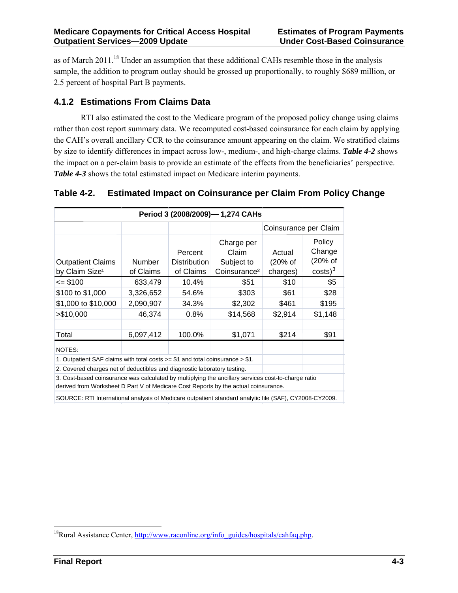as of March 2011.18 Under an assumption that these additional CAHs resemble those in the analysis sample, the addition to program outlay should be grossed up proportionally, to roughly \$689 million, or 2.5 percent of hospital Part B payments.

#### **4.1.2 Estimations From Claims Data**

RTI also estimated the cost to the Medicare program of the proposed policy change using claims rather than cost report summary data. We recomputed cost-based coinsurance for each claim by applying the CAH's overall ancillary CCR to the coinsurance amount appearing on the claim. We stratified claims by size to identify differences in impact across low-, medium-, and high-charge claims. *Table 4-2* shows the impact on a per-claim basis to provide an estimate of the effects from the beneficiaries' perspective. *Table 4-3* shows the total estimated impact on Medicare interim payments.

| Period 3 (2008/2009)-1,274 CAHs                                                                                                                                                            |                               |                                                               |                               |                                                     |      |  |  |  |  |  |
|--------------------------------------------------------------------------------------------------------------------------------------------------------------------------------------------|-------------------------------|---------------------------------------------------------------|-------------------------------|-----------------------------------------------------|------|--|--|--|--|--|
|                                                                                                                                                                                            |                               |                                                               |                               | Coinsurance per Claim                               |      |  |  |  |  |  |
| <b>Outpatient Claims</b><br>by Claim Size <sup>1</sup>                                                                                                                                     | <b>Number</b><br>of Claims    | Charge per<br>Claim<br>Subject to<br>Coinsurance <sup>2</sup> | Actual<br>(20% of<br>charges) | Policy<br>Change<br>(20% of<br>$costs$ <sup>3</sup> |      |  |  |  |  |  |
| $=$ \$100                                                                                                                                                                                  | \$51                          | \$10                                                          | \$5                           |                                                     |      |  |  |  |  |  |
| \$100 to \$1,000                                                                                                                                                                           | \$61                          | \$28                                                          |                               |                                                     |      |  |  |  |  |  |
| \$1,000 to \$10,000                                                                                                                                                                        | 2,090,907<br>34.3%<br>\$2,302 |                                                               |                               |                                                     |      |  |  |  |  |  |
| > \$10,000                                                                                                                                                                                 | 46,374                        | \$14,568                                                      | \$2,914                       | \$1,148                                             |      |  |  |  |  |  |
|                                                                                                                                                                                            |                               |                                                               |                               |                                                     |      |  |  |  |  |  |
| Total                                                                                                                                                                                      | 6,097,412                     | 100.0%                                                        | \$1,071                       | \$214                                               | \$91 |  |  |  |  |  |
| NOTES:                                                                                                                                                                                     |                               |                                                               |                               |                                                     |      |  |  |  |  |  |
| 1. Outpatient SAF claims with total costs $\ge$ \$1 and total coinsurance $\ge$ \$1.                                                                                                       |                               |                                                               |                               |                                                     |      |  |  |  |  |  |
| 2. Covered charges net of deductibles and diagnostic laboratory testing.                                                                                                                   |                               |                                                               |                               |                                                     |      |  |  |  |  |  |
| 3. Cost-based coinsurance was calculated by multiplying the ancillary services cost-to-charge ratio<br>derived from Worksheet D Part V of Medicare Cost Reports by the actual coinsurance. |                               |                                                               |                               |                                                     |      |  |  |  |  |  |
| SOURCE: RTI International analysis of Medicare outpatient standard analytic file (SAF), CY2008-CY2009.                                                                                     |                               |                                                               |                               |                                                     |      |  |  |  |  |  |

#### **Table 4-2. Estimated Impact on Coinsurance per Claim From Policy Change**

1

<sup>&</sup>lt;sup>18</sup>Rural Assistance Center, http://www.raconline.org/info\_guides/hospitals/cahfaq.php.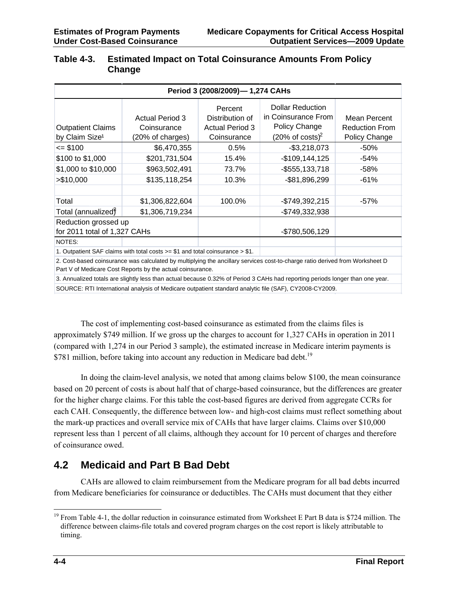| <b>Outpatient Claims</b><br>by Claim Size <sup>1</sup> | <b>Actual Period 3</b><br>Coinsurance<br>(20% of charges)                        | Percent<br>Distribution of<br><b>Actual Period 3</b><br>Coinsurance | <b>Dollar Reduction</b><br>in Coinsurance From<br>Policy Change<br>$(20\% \text{ of costs})^2$                               | Mean Percent<br><b>Reduction From</b><br>Policy Change |
|--------------------------------------------------------|----------------------------------------------------------------------------------|---------------------------------------------------------------------|------------------------------------------------------------------------------------------------------------------------------|--------------------------------------------------------|
| $= $100$                                               | \$6,470,355                                                                      | 0.5%                                                                | $-$3,218,073$                                                                                                                | -50%                                                   |
| \$100 to \$1,000<br>\$201,731,504                      |                                                                                  | 15.4%                                                               | $-$109,144,125$                                                                                                              | -54%                                                   |
| \$1,000 to \$10,000<br>\$963,502,491                   |                                                                                  | 73.7%                                                               | $-$ \$555,133,718                                                                                                            | $-58%$                                                 |
| > \$10,000                                             | \$135,118,254                                                                    |                                                                     | -\$81,896,299                                                                                                                | $-61%$                                                 |
| Total                                                  | \$1,306,822,604                                                                  | 100.0%                                                              | $-$749,392,215$                                                                                                              | -57%                                                   |
| Total (annualized)                                     | \$1,306,719,234                                                                  |                                                                     | -\$749,332,938                                                                                                               |                                                        |
| Reduction grossed up<br>for 2011 total of 1,327 CAHs   |                                                                                  |                                                                     | -\$780,506,129                                                                                                               |                                                        |
| NOTES:                                                 |                                                                                  |                                                                     |                                                                                                                              |                                                        |
|                                                        | 1. Outpatient SAF claims with total costs $>= $1$ and total coinsurance $> $1$ . |                                                                     |                                                                                                                              |                                                        |
|                                                        |                                                                                  |                                                                     | 2. Cost-based coinsurance was calculated by multiplying the ancillary senvices cost-to-charge ratio derived from Worksheet D |                                                        |

#### **Table 4-3. Estimated Impact on Total Coinsurance Amounts From Policy Change**

thas calculated by multiplying the ancillary services cost-to-charge ratio derived from Worksheet in  $\mathbb R$ Part V of Medicare Cost Reports by the actual coinsurance.

3. Annualized totals are slightly less than actual because 0.32% of Period 3 CAHs had reporting periods longer than one year. SOURCE: RTI International analysis of Medicare outpatient standard analytic file (SAF), CY2008-CY2009.

The cost of implementing cost-based coinsurance as estimated from the claims files is approximately \$749 million. If we gross up the charges to account for 1,327 CAHs in operation in 2011 (compared with 1,274 in our Period 3 sample), the estimated increase in Medicare interim payments is \$781 million, before taking into account any reduction in Medicare bad debt.<sup>19</sup>

In doing the claim-level analysis, we noted that among claims below \$100, the mean coinsurance based on 20 percent of costs is about half that of charge-based coinsurance, but the differences are greater for the higher charge claims. For this table the cost-based figures are derived from aggregate CCRs for each CAH. Consequently, the difference between low- and high-cost claims must reflect something about the mark-up practices and overall service mix of CAHs that have larger claims. Claims over \$10,000 represent less than 1 percent of all claims, although they account for 10 percent of charges and therefore of coinsurance owed.

#### **4.2 Medicaid and Part B Bad Debt**

CAHs are allowed to claim reimbursement from the Medicare program for all bad debts incurred from Medicare beneficiaries for coinsurance or deductibles. The CAHs must document that they either

<sup>1</sup>  $19$  From Table 4-1, the dollar reduction in coinsurance estimated from Worksheet E Part B data is \$724 million. The difference between claims-file totals and covered program charges on the cost report is likely attributable to timing.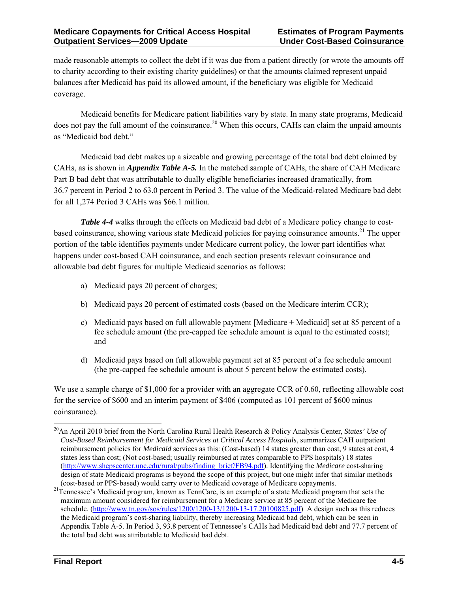made reasonable attempts to collect the debt if it was due from a patient directly (or wrote the amounts off to charity according to their existing charity guidelines) or that the amounts claimed represent unpaid balances after Medicaid has paid its allowed amount, if the beneficiary was eligible for Medicaid coverage.

Medicaid benefits for Medicare patient liabilities vary by state. In many state programs, Medicaid does not pay the full amount of the coinsurance.<sup>20</sup> When this occurs, CAHs can claim the unpaid amounts as "Medicaid bad debt."

Medicaid bad debt makes up a sizeable and growing percentage of the total bad debt claimed by CAHs, as is shown in *Appendix Table A-5.* In the matched sample of CAHs, the share of CAH Medicare Part B bad debt that was attributable to dually eligible beneficiaries increased dramatically, from 36.7 percent in Period 2 to 63.0 percent in Period 3. The value of the Medicaid-related Medicare bad debt for all 1,274 Period 3 CAHs was \$66.1 million.

*Table 4-4* walks through the effects on Medicaid bad debt of a Medicare policy change to costbased coinsurance, showing various state Medicaid policies for paying coinsurance amounts.<sup>21</sup> The upper portion of the table identifies payments under Medicare current policy, the lower part identifies what happens under cost-based CAH coinsurance, and each section presents relevant coinsurance and allowable bad debt figures for multiple Medicaid scenarios as follows:

- a) Medicaid pays 20 percent of charges;
- b) Medicaid pays 20 percent of estimated costs (based on the Medicare interim CCR);
- c) Medicaid pays based on full allowable payment [Medicare + Medicaid] set at 85 percent of a fee schedule amount (the pre-capped fee schedule amount is equal to the estimated costs); and
- d) Medicaid pays based on full allowable payment set at 85 percent of a fee schedule amount (the pre-capped fee schedule amount is about 5 percent below the estimated costs).

We use a sample charge of \$1,000 for a provider with an aggregate CCR of 0.60, reflecting allowable cost for the service of \$600 and an interim payment of \$406 (computed as 101 percent of \$600 minus coinsurance).

<sup>1</sup> 20An April 2010 brief from the North Carolina Rural Health Research & Policy Analysis Center, *States' Use of Cost-Based Reimbursement for Medicaid Services at Critical Access Hospitals*, summarizes CAH outpatient reimbursement policies for *Medicaid* services as this: (Cost-based) 14 states greater than cost, 9 states at cost, 4 states less than cost; (Not cost-based; usually reimbursed at rates comparable to PPS hospitals) 18 states (http://www.shepscenter.unc.edu/rural/pubs/finding\_brief/FB94.pdf). Identifying the *Medicare* cost-sharing design of state Medicaid programs is beyond the scope of this project, but one might infer that similar methods

<sup>(</sup>cost-based or PPS-based) would carry over to Medicaid coverage of Medicare copayments. 21Tennessee's Medicaid program, known as TennCare, is an example of a state Medicaid program that sets the maximum amount considered for reimbursement for a Medicare service at 85 percent of the Medicare fee schedule. (http://www.tn.gov/sos/rules/1200/1200-13/1200-13-17.20100825.pdf) A design such as this reduces the Medicaid program's cost-sharing liability, thereby increasing Medicaid bad debt, which can be seen in Appendix Table A-5. In Period 3, 93.8 percent of Tennessee's CAHs had Medicaid bad debt and 77.7 percent of the total bad debt was attributable to Medicaid bad debt.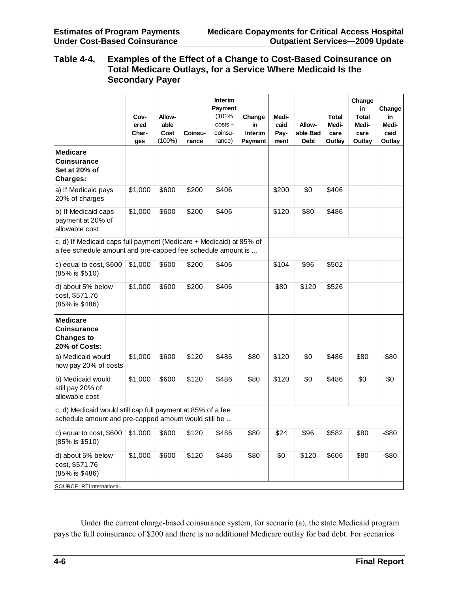#### **Table 4-4. Examples of the Effect of a Change to Cost-Based Coinsurance on Total Medicare Outlays, for a Service Where Medicaid Is the Secondary Payer**

|                                                                                                                                    | Cov-<br>ered<br>Char-<br>ges | Allow-<br>able<br>Cost<br>$(100\%)$ | <b>Coinsu-</b><br>rance | Interim<br>Payment<br>(101%<br>$costs -$<br>coinsu-<br>rance) | Change<br>in<br>Interim<br>Payment | Medi-<br>caid<br>Pay-<br>ment | Allow-<br>able Bad<br>Debt | <b>Total</b><br>Medi-<br>care<br>Outlay | Change<br>in<br><b>Total</b><br>Medi-<br>care<br>Outlay | Change<br>in.<br>Medi-<br>caid<br>Outlay |
|------------------------------------------------------------------------------------------------------------------------------------|------------------------------|-------------------------------------|-------------------------|---------------------------------------------------------------|------------------------------------|-------------------------------|----------------------------|-----------------------------------------|---------------------------------------------------------|------------------------------------------|
| <b>Medicare</b><br><b>Coinsurance</b><br>Set at 20% of<br>Charges:                                                                 |                              |                                     |                         |                                                               |                                    |                               |                            |                                         |                                                         |                                          |
| a) If Medicaid pays<br>20% of charges                                                                                              | \$1,000                      | \$600                               | \$200                   | \$406                                                         |                                    | \$200                         | \$0                        | \$406                                   |                                                         |                                          |
| b) If Medicaid caps<br>payment at 20% of<br>allowable cost                                                                         | \$1,000                      | \$600                               | \$200                   | \$406                                                         |                                    | \$120                         | \$80                       | \$486                                   |                                                         |                                          |
| c, d) If Medicaid caps full payment (Medicare + Medicaid) at 85% of<br>a fee schedule amount and pre-capped fee schedule amount is |                              |                                     |                         |                                                               |                                    |                               |                            |                                         |                                                         |                                          |
| c) equal to cost, \$600<br>$(85\% \text{ is } $510)$                                                                               | \$1,000                      | \$600                               | \$200                   | \$406                                                         |                                    | \$104                         | \$96                       | \$502                                   |                                                         |                                          |
| d) about 5% below<br>cost, \$571.76<br>(85% is \$486)                                                                              | \$1,000                      | \$600                               | \$200                   | \$406                                                         |                                    | \$80                          | \$120                      | \$526                                   |                                                         |                                          |
| <b>Medicare</b><br><b>Coinsurance</b><br><b>Changes to</b><br>20% of Costs:                                                        |                              |                                     |                         |                                                               |                                    |                               |                            |                                         |                                                         |                                          |
| a) Medicaid would<br>now pay 20% of costs                                                                                          | \$1,000                      | \$600                               | \$120                   | \$486                                                         | \$80                               | \$120                         | \$0                        | \$486                                   | \$80                                                    | $-$ \$80                                 |
| b) Medicaid would<br>still pay 20% of<br>allowable cost                                                                            | \$1,000                      | \$600                               | \$120                   | \$486                                                         | \$80                               | \$120                         | \$0                        | \$486                                   | \$0                                                     | \$0                                      |
| c, d) Medicaid would still cap full payment at 85% of a fee<br>schedule amount and pre-capped amount would still be                |                              |                                     |                         |                                                               |                                    |                               |                            |                                         |                                                         |                                          |
| c) equal to cost, \$600<br>(85% is \$510)                                                                                          | \$1,000                      | \$600                               | \$120                   | \$486                                                         | \$80                               | \$24                          | \$96                       | \$582                                   | \$80                                                    | $-$ \$80                                 |
| d) about 5% below<br>cost, \$571.76<br>(85% is \$486)<br>SOURCE: RTI International.                                                | \$1,000                      | \$600                               | \$120                   | \$486                                                         | \$80                               | \$0                           | \$120                      | \$606                                   | \$80                                                    | $-$ \$80                                 |

Under the current charge-based coinsurance system, for scenario (a), the state Medicaid program pays the full coinsurance of \$200 and there is no additional Medicare outlay for bad debt. For scenarios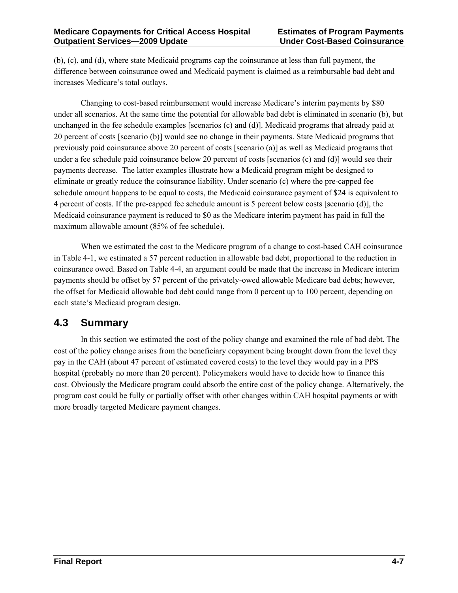(b), (c), and (d), where state Medicaid programs cap the coinsurance at less than full payment, the difference between coinsurance owed and Medicaid payment is claimed as a reimbursable bad debt and increases Medicare's total outlays.

Changing to cost-based reimbursement would increase Medicare's interim payments by \$80 under all scenarios. At the same time the potential for allowable bad debt is eliminated in scenario (b), but unchanged in the fee schedule examples [scenarios (c) and (d)]. Medicaid programs that already paid at 20 percent of costs [scenario (b)] would see no change in their payments. State Medicaid programs that previously paid coinsurance above 20 percent of costs [scenario (a)] as well as Medicaid programs that under a fee schedule paid coinsurance below 20 percent of costs [scenarios (c) and (d)] would see their payments decrease. The latter examples illustrate how a Medicaid program might be designed to eliminate or greatly reduce the coinsurance liability. Under scenario (c) where the pre-capped fee schedule amount happens to be equal to costs, the Medicaid coinsurance payment of \$24 is equivalent to 4 percent of costs. If the pre-capped fee schedule amount is 5 percent below costs [scenario (d)], the Medicaid coinsurance payment is reduced to \$0 as the Medicare interim payment has paid in full the maximum allowable amount (85% of fee schedule).

When we estimated the cost to the Medicare program of a change to cost-based CAH coinsurance in Table 4-1, we estimated a 57 percent reduction in allowable bad debt, proportional to the reduction in coinsurance owed. Based on Table 4-4, an argument could be made that the increase in Medicare interim payments should be offset by 57 percent of the privately-owed allowable Medicare bad debts; however, the offset for Medicaid allowable bad debt could range from 0 percent up to 100 percent, depending on each state's Medicaid program design.

#### **4.3 Summary**

In this section we estimated the cost of the policy change and examined the role of bad debt. The cost of the policy change arises from the beneficiary copayment being brought down from the level they pay in the CAH (about 47 percent of estimated covered costs) to the level they would pay in a PPS hospital (probably no more than 20 percent). Policymakers would have to decide how to finance this cost. Obviously the Medicare program could absorb the entire cost of the policy change. Alternatively, the program cost could be fully or partially offset with other changes within CAH hospital payments or with more broadly targeted Medicare payment changes.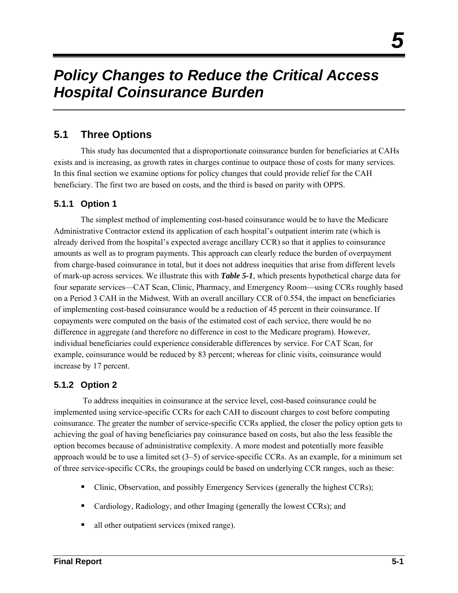## *Policy Changes to Reduce the Critical Access Hospital Coinsurance Burden*

#### **5.1 Three Options**

This study has documented that a disproportionate coinsurance burden for beneficiaries at CAHs exists and is increasing, as growth rates in charges continue to outpace those of costs for many services. In this final section we examine options for policy changes that could provide relief for the CAH beneficiary. The first two are based on costs, and the third is based on parity with OPPS.

#### **5.1.1 Option 1**

The simplest method of implementing cost-based coinsurance would be to have the Medicare Administrative Contractor extend its application of each hospital's outpatient interim rate (which is already derived from the hospital's expected average ancillary CCR) so that it applies to coinsurance amounts as well as to program payments. This approach can clearly reduce the burden of overpayment from charge-based coinsurance in total, but it does not address inequities that arise from different levels of mark-up across services. We illustrate this with *Table 5-1*, which presents hypothetical charge data for four separate services—CAT Scan, Clinic, Pharmacy, and Emergency Room—using CCRs roughly based on a Period 3 CAH in the Midwest*.* With an overall ancillary CCR of 0.554, the impact on beneficiaries of implementing cost-based coinsurance would be a reduction of 45 percent in their coinsurance. If copayments were computed on the basis of the estimated cost of each service, there would be no difference in aggregate (and therefore no difference in cost to the Medicare program). However, individual beneficiaries could experience considerable differences by service. For CAT Scan, for example, coinsurance would be reduced by 83 percent; whereas for clinic visits, coinsurance would increase by 17 percent.

#### **5.1.2 Option 2**

 To address inequities in coinsurance at the service level, cost-based coinsurance could be implemented using service-specific CCRs for each CAH to discount charges to cost before computing coinsurance. The greater the number of service-specific CCRs applied, the closer the policy option gets to achieving the goal of having beneficiaries pay coinsurance based on costs, but also the less feasible the option becomes because of administrative complexity. A more modest and potentially more feasible approach would be to use a limited set (3–5) of service-specific CCRs. As an example, for a minimum set of three service-specific CCRs, the groupings could be based on underlying CCR ranges, such as these:

- Clinic, Observation, and possibly Emergency Services (generally the highest CCRs);
- Cardiology, Radiology, and other Imaging (generally the lowest CCRs); and
- all other outpatient services (mixed range).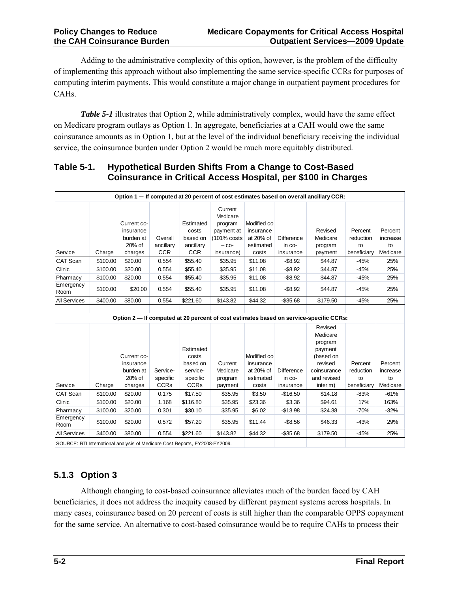Adding to the administrative complexity of this option, however, is the problem of the difficulty of implementing this approach without also implementing the same service-specific CCRs for purposes of computing interim payments. This would constitute a major change in outpatient payment procedures for CAHs.

*Table 5-1* illustrates that Option 2, while administratively complex, would have the same effect on Medicare program outlays as Option 1. In aggregate, beneficiaries at a CAH would owe the same coinsurance amounts as in Option 1, but at the level of the individual beneficiary receiving the individual service, the coinsurance burden under Option 2 would be much more equitably distributed.

#### **Table 5-1. Hypothetical Burden Shifts From a Change to Cost-Based Coinsurance in Critical Access Hospital, per \$100 in Charges**

|                                                                           | Option 1 - If computed at 20 percent of cost estimates based on overall ancillary CCR: |                                                            |                                    |                                                           |                                                                                      |                                                              |                                          |                                                                                                 |                                           |                                       |  |  |
|---------------------------------------------------------------------------|----------------------------------------------------------------------------------------|------------------------------------------------------------|------------------------------------|-----------------------------------------------------------|--------------------------------------------------------------------------------------|--------------------------------------------------------------|------------------------------------------|-------------------------------------------------------------------------------------------------|-------------------------------------------|---------------------------------------|--|--|
| Service                                                                   | Charge                                                                                 | Current co-<br>insurance<br>burden at<br>20% of<br>charges | Overall<br>ancillary<br><b>CCR</b> | Estimated<br>costs<br>based on<br>ancillary<br><b>CCR</b> | Current<br>Medicare<br>program<br>payment at<br>(101% costs<br>$-$ CO-<br>insurance) | Modified co-<br>insurance<br>at 20% of<br>estimated<br>costs | <b>Difference</b><br>in co-<br>insurance | Revised<br>Medicare<br>program<br>payment                                                       | Percent<br>reduction<br>to<br>beneficiary | Percent<br>increase<br>to<br>Medicare |  |  |
| <b>CAT Scan</b>                                                           | \$100.00                                                                               | \$20.00                                                    | 0.554                              | \$55.40                                                   | \$35.95                                                                              | \$11.08                                                      | $-$ \$8.92                               | \$44.87                                                                                         | $-45%$                                    | 25%                                   |  |  |
| Clinic                                                                    | \$100.00                                                                               | \$20.00                                                    | 0.554                              | \$55.40                                                   | \$35.95                                                                              | \$11.08                                                      | $-$8.92$                                 | \$44.87                                                                                         | $-45%$                                    | 25%                                   |  |  |
| Pharmacy                                                                  | \$100.00                                                                               | \$20.00                                                    | 0.554                              | \$55.40                                                   | \$35.95                                                                              | \$11.08                                                      | $-$8.92$                                 | \$44.87                                                                                         | $-45%$                                    | 25%                                   |  |  |
| Emergency<br>Room                                                         | \$100.00                                                                               | \$20.00                                                    | 0.554                              | \$55.40                                                   | \$35.95                                                                              | \$11.08                                                      | $-$8.92$                                 | \$44.87                                                                                         | $-45%$                                    | 25%                                   |  |  |
| <b>All Services</b>                                                       | \$400.00                                                                               | \$80.00                                                    | 0.554                              | \$221.60                                                  | \$143.82                                                                             | \$44.32                                                      | $-$35.68$                                | \$179.50                                                                                        | $-45%$                                    | 25%                                   |  |  |
|                                                                           |                                                                                        |                                                            |                                    |                                                           |                                                                                      |                                                              |                                          |                                                                                                 |                                           |                                       |  |  |
|                                                                           |                                                                                        |                                                            |                                    |                                                           |                                                                                      |                                                              |                                          | Option 2- If computed at 20 percent of cost estimates based on service-specific CCRs:           |                                           |                                       |  |  |
|                                                                           |                                                                                        | Current co-<br>insurance<br>burden at<br>20% of            | Service-<br>specific               | Estimated<br>costs<br>based on<br>service-<br>specific    | Current<br>Medicare<br>program                                                       | Modified co-<br>insurance<br>at 20% of<br>estimated          | <b>Difference</b><br>in co-              | Revised<br>Medicare<br>program<br>payment<br>(based on<br>revised<br>coinsurance<br>and revised | Percent<br>reduction<br>to                | Percent<br>increase<br>to             |  |  |
| Service                                                                   | Charge                                                                                 | charges                                                    | <b>CCRs</b>                        | <b>CCRs</b>                                               | payment                                                                              | costs                                                        | insurance                                | interim)                                                                                        | beneficiary                               | Medicare                              |  |  |
| CAT Scan                                                                  | \$100.00                                                                               | \$20.00                                                    | 0.175                              | \$17.50                                                   | \$35.95                                                                              | \$3.50                                                       | $-$16.50$                                | \$14.18                                                                                         | $-83%$                                    | $-61%$                                |  |  |
| Clinic                                                                    | \$100.00                                                                               | \$20.00                                                    | 1.168                              | \$116.80                                                  | \$35.95                                                                              | \$23.36                                                      | \$3.36                                   | \$94.61                                                                                         | 17%                                       | 163%                                  |  |  |
| Pharmacy                                                                  | \$100.00                                                                               | \$20.00                                                    | 0.301                              | \$30.10                                                   | \$35.95                                                                              | \$6.02                                                       | $-$13.98$                                | \$24.38                                                                                         | $-70%$                                    | $-32%$                                |  |  |
| Emergency<br>Room                                                         | \$100.00                                                                               | \$20.00                                                    | 0.572                              | \$57.20                                                   | \$35.95                                                                              | \$11.44                                                      | $-$8.56$                                 | \$46.33                                                                                         | $-43%$                                    | 29%                                   |  |  |
| All Services                                                              | \$400.00                                                                               | \$80.00                                                    | 0.554                              | \$221.60                                                  | \$143.82                                                                             | \$44.32                                                      | $-$35.68$                                | \$179.50                                                                                        | $-45%$                                    | 25%                                   |  |  |
| SOURCE: RTI International analysis of Medicare Cost Reports EY2008-EY2009 |                                                                                        |                                                            |                                    |                                                           |                                                                                      |                                                              |                                          |                                                                                                 |                                           |                                       |  |  |

SOURCE: RTI International analysis of Medicare Cost Reports, FY2008-FY2009.

#### **5.1.3 Option 3**

Although changing to cost-based coinsurance alleviates much of the burden faced by CAH beneficiaries, it does not address the inequity caused by different payment systems across hospitals. In many cases, coinsurance based on 20 percent of costs is still higher than the comparable OPPS copayment for the same service. An alternative to cost-based coinsurance would be to require CAHs to process their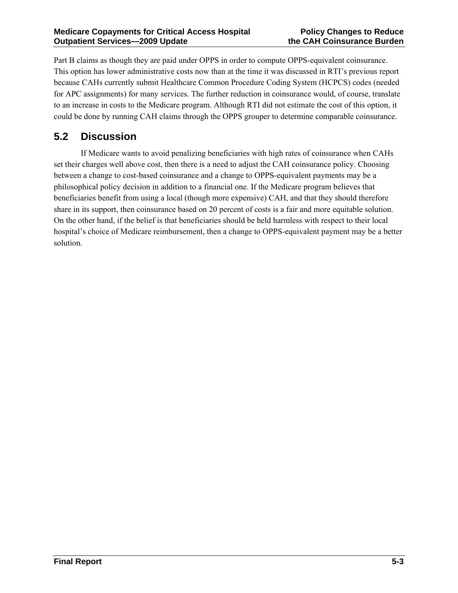Part B claims as though they are paid under OPPS in order to compute OPPS-equivalent coinsurance. This option has lower administrative costs now than at the time it was discussed in RTI's previous report because CAHs currently submit Healthcare Common Procedure Coding System (HCPCS) codes (needed for APC assignments) for many services. The further reduction in coinsurance would, of course, translate to an increase in costs to the Medicare program. Although RTI did not estimate the cost of this option, it could be done by running CAH claims through the OPPS grouper to determine comparable coinsurance.

### **5.2 Discussion**

If Medicare wants to avoid penalizing beneficiaries with high rates of coinsurance when CAHs set their charges well above cost, then there is a need to adjust the CAH coinsurance policy. Choosing between a change to cost-based coinsurance and a change to OPPS-equivalent payments may be a philosophical policy decision in addition to a financial one. If the Medicare program believes that beneficiaries benefit from using a local (though more expensive) CAH, and that they should therefore share in its support, then coinsurance based on 20 percent of costs is a fair and more equitable solution. On the other hand, if the belief is that beneficiaries should be held harmless with respect to their local hospital's choice of Medicare reimbursement, then a change to OPPS-equivalent payment may be a better solution.